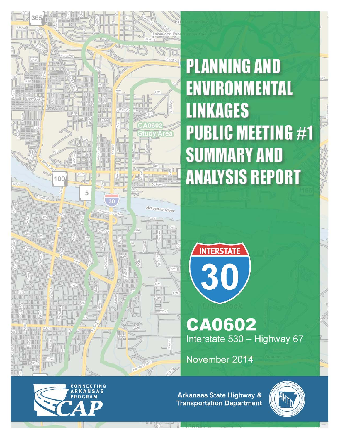

**PLANNING AND ENVIRONMENTAL LINKAGES PUBLIC MEETING #1 SUMMARY AND ANALYSIS REPORT** 



**CA0602** Interstate 530 - Highway 67

November 2014



**Arkansas State Highway & Transportation Department** 

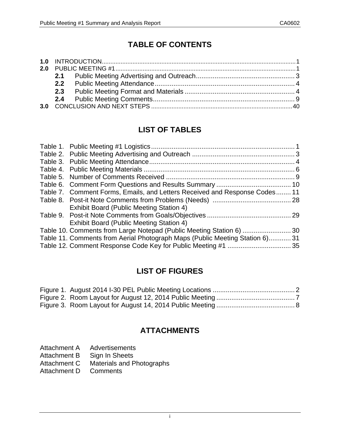# **TABLE OF CONTENTS**

| 2.0 |  |  |  |  |  |  |
|-----|--|--|--|--|--|--|
|     |  |  |  |  |  |  |
|     |  |  |  |  |  |  |
|     |  |  |  |  |  |  |
|     |  |  |  |  |  |  |
|     |  |  |  |  |  |  |

# **LIST OF TABLES**

| Table 7. Comment Forms, Emails, and Letters Received and Response Codes 11   |  |
|------------------------------------------------------------------------------|--|
|                                                                              |  |
| <b>Exhibit Board (Public Meeting Station 4)</b>                              |  |
|                                                                              |  |
| Exhibit Board (Public Meeting Station 4)                                     |  |
| Table 10. Comments from Large Notepad (Public Meeting Station 6)  30         |  |
| Table 11. Comments from Aerial Photograph Maps (Public Meeting Station 6) 31 |  |
|                                                                              |  |
|                                                                              |  |

# **LIST OF FIGURES**

# **ATTACHMENTS**

| Attachment A | <b>Advertisements</b> |
|--------------|-----------------------|
|              |                       |

- Attachment B Sign In Sheets
- Attachment C Materials and Photographs
- Attachment D Comments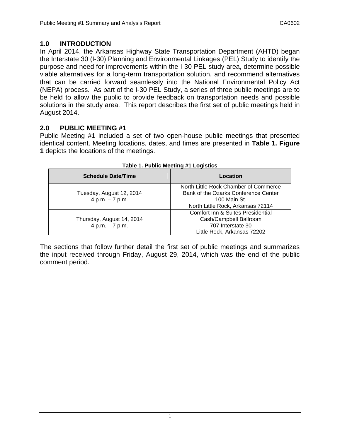## **1.0 INTRODUCTION**

In April 2014, the Arkansas Highway State Transportation Department (AHTD) began the Interstate 30 (I-30) Planning and Environmental Linkages (PEL) Study to identify the purpose and need for improvements within the I-30 PEL study area, determine possible viable alternatives for a long-term transportation solution, and recommend alternatives that can be carried forward seamlessly into the National Environmental Policy Act (NEPA) process. As part of the I-30 PEL Study, a series of three public meetings are to be held to allow the public to provide feedback on transportation needs and possible solutions in the study area. This report describes the first set of public meetings held in August 2014.

## **2.0 PUBLIC MEETING #1**

Public Meeting #1 included a set of two open-house public meetings that presented identical content. Meeting locations, dates, and times are presented in **Table 1. Figure 1** depicts the locations of the meetings.

| <b>Schedule Date/Time</b> | Location                                     |
|---------------------------|----------------------------------------------|
|                           | North Little Rock Chamber of Commerce        |
| Tuesday, August 12, 2014  | Bank of the Ozarks Conference Center         |
| 4 p.m. $-7$ p.m.          | 100 Main St.                                 |
|                           | North Little Rock, Arkansas 72114            |
|                           | <b>Comfort Inn &amp; Suites Presidential</b> |
| Thursday, August 14, 2014 | Cash/Campbell Ballroom                       |
| 4 p.m. $-7$ p.m.          | 707 Interstate 30                            |
|                           | Little Rock, Arkansas 72202                  |

#### **Table 1. Public Meeting #1 Logistics**

The sections that follow further detail the first set of public meetings and summarizes the input received through Friday, August 29, 2014, which was the end of the public comment period.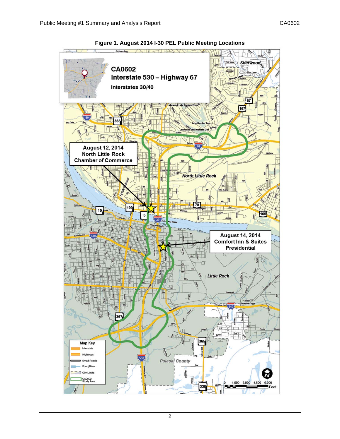

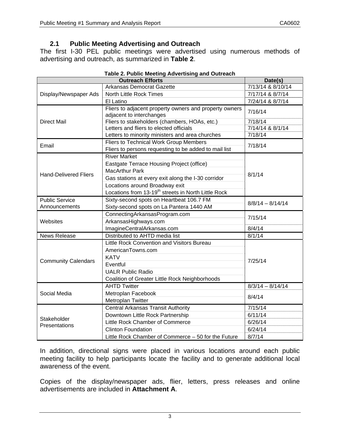## **2.1 Public Meeting Advertising and Outreach**

The first I-30 PEL public meetings were advertised using numerous methods of advertising and outreach, as summarized in **Table 2**.

|                              | Date(s)                                                                            |                    |  |
|------------------------------|------------------------------------------------------------------------------------|--------------------|--|
|                              | Arkansas Democrat Gazette                                                          | 7/13/14 & 8/10/14  |  |
| Display/Newspaper Ads        | North Little Rock Times                                                            | 7/17/14 & 8/7/14   |  |
|                              | El Latino                                                                          | 7/24/14 & 8/7/14   |  |
|                              | Fliers to adjacent property owners and property owners<br>adjacent to interchanges | 7/16/14            |  |
| <b>Direct Mail</b>           | Fliers to stakeholders (chambers, HOAs, etc.)                                      | 7/18/14            |  |
|                              | Letters and fliers to elected officials                                            | 7/14/14 & 8/1/14   |  |
|                              | Letters to minority ministers and area churches                                    | 7/18/14            |  |
| Email                        | Fliers to Technical Work Group Members                                             | 7/18/14            |  |
|                              | Fliers to persons requesting to be added to mail list                              |                    |  |
|                              | <b>River Market</b>                                                                |                    |  |
|                              | Eastgate Terrace Housing Project (office)                                          |                    |  |
| <b>Hand-Delivered Fliers</b> | <b>MacArthur Park</b>                                                              | 8/1/14             |  |
|                              | Gas stations at every exit along the I-30 corridor                                 |                    |  |
|                              | Locations around Broadway exit                                                     |                    |  |
|                              | Locations from 13-19 <sup>th</sup> streets in North Little Rock                    |                    |  |
| <b>Public Service</b>        | Sixty-second spots on Heartbeat 106.7 FM                                           |                    |  |
| Announcements                | Sixty-second spots on La Pantera 1440 AM                                           | $8/8/14 - 8/14/14$ |  |
|                              | ConnectingArkansasProgram.com                                                      | 7/15/14            |  |
| Websites                     | ArkansasHighways.com                                                               |                    |  |
|                              | ImagineCentralArkansas.com                                                         | 8/4/14             |  |
| <b>News Release</b>          | Distributed to AHTD media list                                                     | 8/1/14             |  |
|                              | Little Rock Convention and Visitors Bureau                                         |                    |  |
|                              | AmericanTowns.com                                                                  |                    |  |
|                              | <b>KATV</b>                                                                        |                    |  |
| <b>Community Calendars</b>   | Eventful                                                                           | 7/25/14            |  |
|                              | <b>UALR Public Radio</b>                                                           |                    |  |
|                              | Coalition of Greater Little Rock Neighborhoods                                     |                    |  |
|                              | <b>AHTD Twitter</b>                                                                | $8/3/14 - 8/14/14$ |  |
| Social Media                 | Metroplan Facebook                                                                 |                    |  |
|                              | Metroplan Twitter                                                                  | 8/4/14             |  |
|                              | <b>Central Arkansas Transit Authority</b>                                          | 7/15/14            |  |
|                              | Downtown Little Rock Partnership                                                   | 6/11/14            |  |
| Stakeholder                  | Little Rock Chamber of Commerce                                                    | 6/26/14            |  |
| Presentations                | <b>Clinton Foundation</b>                                                          | 6/24/14            |  |
|                              | Little Rock Chamber of Commerce - 50 for the Future                                | 8/7/14             |  |

### **Table 2. Public Meeting Advertising and Outreach**

In addition, directional signs were placed in various locations around each public meeting facility to help participants locate the facility and to generate additional local awareness of the event.

Copies of the display/newspaper ads, flier, letters, press releases and online advertisements are included in **Attachment A**.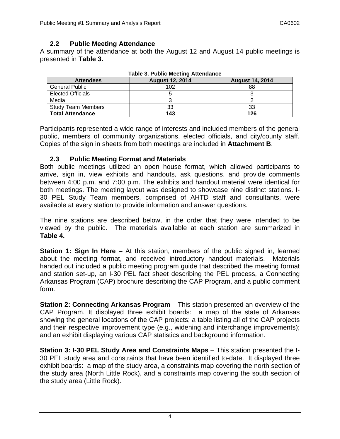## **2.2 Public Meeting Attendance**

A summary of the attendance at both the August 12 and August 14 public meetings is presented in **Table 3.** 

| , apio of Fabilo moothiq / ittoriaanoo                               |     |     |  |  |  |  |  |
|----------------------------------------------------------------------|-----|-----|--|--|--|--|--|
| <b>August 12, 2014</b><br><b>August 14, 2014</b><br><b>Attendees</b> |     |     |  |  |  |  |  |
| <b>General Public</b>                                                | 102 | 88  |  |  |  |  |  |
| <b>Elected Officials</b>                                             |     |     |  |  |  |  |  |
| Media                                                                |     |     |  |  |  |  |  |
| <b>Study Team Members</b>                                            | 33  | 33  |  |  |  |  |  |
| <b>Total Attendance</b>                                              | 143 | 126 |  |  |  |  |  |

|  |  | <b>Table 3. Public Meeting Attendance</b> |
|--|--|-------------------------------------------|
|  |  |                                           |

Participants represented a wide range of interests and included members of the general public, members of community organizations, elected officials, and city/county staff. Copies of the sign in sheets from both meetings are included in **Attachment B**.

### **2.3 Public Meeting Format and Materials**

Both public meetings utilized an open house format, which allowed participants to arrive, sign in, view exhibits and handouts, ask questions, and provide comments between 4:00 p.m. and 7:00 p.m. The exhibits and handout material were identical for both meetings. The meeting layout was designed to showcase nine distinct stations. I-30 PEL Study Team members, comprised of AHTD staff and consultants, were available at every station to provide information and answer questions.

The nine stations are described below, in the order that they were intended to be viewed by the public. The materials available at each station are summarized in **Table 4.**

**Station 1: Sign In Here** – At this station, members of the public signed in, learned about the meeting format, and received introductory handout materials. Materials handed out included a public meeting program guide that described the meeting format and station set-up, an I-30 PEL fact sheet describing the PEL process, a Connecting Arkansas Program (CAP) brochure describing the CAP Program, and a public comment form.

**Station 2: Connecting Arkansas Program** – This station presented an overview of the CAP Program. It displayed three exhibit boards: a map of the state of Arkansas showing the general locations of the CAP projects; a table listing all of the CAP projects and their respective improvement type (e.g., widening and interchange improvements); and an exhibit displaying various CAP statistics and background information.

**Station 3: I-30 PEL Study Area and Constraints Maps** – This station presented the I-30 PEL study area and constraints that have been identified to-date. It displayed three exhibit boards: a map of the study area, a constraints map covering the north section of the study area (North Little Rock), and a constraints map covering the south section of the study area (Little Rock).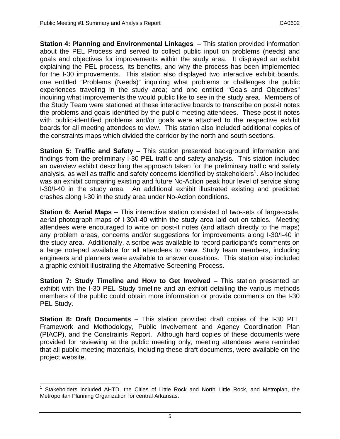**Station 4: Planning and Environmental Linkages** – This station provided information about the PEL Process and served to collect public input on problems (needs) and goals and objectives for improvements within the study area. It displayed an exhibit explaining the PEL process, its benefits, and why the process has been implemented for the I-30 improvements. This station also displayed two interactive exhibit boards, one entitled "Problems (Needs)" inquiring what problems or challenges the public experiences traveling in the study area; and one entitled "Goals and Objectives" inquiring what improvements the would public like to see in the study area. Members of the Study Team were stationed at these interactive boards to transcribe on post-it notes the problems and goals identified by the public meeting attendees. These post-it notes with public-identified problems and/or goals were attached to the respective exhibit boards for all meeting attendees to view. This station also included additional copies of the constraints maps which divided the corridor by the north and south sections.

**Station 5: Traffic and Safety** – This station presented background information and findings from the preliminary I-30 PEL traffic and safety analysis. This station included an overview exhibit describing the approach taken for the preliminary traffic and safety analysis, as well as traffic and safety concerns identified by stakeholders<sup>1</sup>. Also included was an exhibit comparing existing and future No-Action peak hour level of service along I-30/I-40 in the study area. An additional exhibit illustrated existing and predicted crashes along I-30 in the study area under No-Action conditions.

**Station 6: Aerial Maps** – This interactive station consisted of two-sets of large-scale, aerial photograph maps of I-30/I-40 within the study area laid out on tables. Meeting attendees were encouraged to write on post-it notes (and attach directly to the maps) any problem areas, concerns and/or suggestions for improvements along I-30/I-40 in the study area. Additionally, a scribe was available to record participant's comments on a large notepad available for all attendees to view. Study team members, including engineers and planners were available to answer questions. This station also included a graphic exhibit illustrating the Alternative Screening Process.

**Station 7: Study Timeline and How to Get Involved – This station presented an** exhibit with the I-30 PEL Study timeline and an exhibit detailing the various methods members of the public could obtain more information or provide comments on the I-30 PEL Study.

**Station 8: Draft Documents** – This station provided draft copies of the I-30 PEL Framework and Methodology, Public Involvement and Agency Coordination Plan (PIACP), and the Constraints Report. Although hard copies of these documents were provided for reviewing at the public meeting only, meeting attendees were reminded that all public meeting materials, including these draft documents, were available on the project website.

<sup>1</sup> 1 Stakeholders included AHTD, the Cities of Little Rock and North Little Rock, and Metroplan, the Metropolitan Planning Organization for central Arkansas.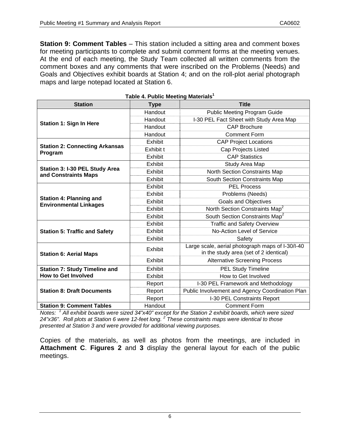**Station 9: Comment Tables** – This station included a sitting area and comment boxes for meeting participants to complete and submit comment forms at the meeting venues. At the end of each meeting, the Study Team collected all written comments from the comment boxes and any comments that were inscribed on the Problems (Needs) and Goals and Objectives exhibit boards at Station 4; and on the roll-plot aerial photograph maps and large notepad located at Station 6.

| <b>Station</b>                                                  | <b>Type</b> | <b>Title</b>                                     |  |
|-----------------------------------------------------------------|-------------|--------------------------------------------------|--|
|                                                                 | Handout     | <b>Public Meeting Program Guide</b>              |  |
|                                                                 | Handout     | I-30 PEL Fact Sheet with Study Area Map          |  |
| <b>Station 1: Sign In Here</b>                                  | Handout     | <b>CAP Brochure</b>                              |  |
|                                                                 | Handout     | <b>Comment Form</b>                              |  |
|                                                                 | Exhibit     | <b>CAP Project Locations</b>                     |  |
| <b>Station 2: Connecting Arkansas</b><br>Program                | Exhibit t   | <b>Cap Projects Listed</b>                       |  |
|                                                                 | Exhibit     | <b>CAP Statistics</b>                            |  |
|                                                                 | Exhibit     | Study Area Map                                   |  |
| Station 3: I-30 PEL Study Area<br>and Constraints Maps          | Exhibit     | North Section Constraints Map                    |  |
|                                                                 | Exhibit     | South Section Constraints Map                    |  |
|                                                                 | Exhibit     | <b>PEL Process</b>                               |  |
|                                                                 | Exhibit     | Problems (Needs)                                 |  |
| <b>Station 4: Planning and</b><br><b>Environmental Linkages</b> | Exhibit     | Goals and Objectives                             |  |
|                                                                 | Exhibit     | North Section Constraints Map <sup>2</sup>       |  |
|                                                                 | Exhibit     | South Section Constraints Map <sup>2</sup>       |  |
|                                                                 | Exhibit     | <b>Traffic and Safety Overview</b>               |  |
| <b>Station 5: Traffic and Safety</b>                            | Exhibit     | No-Action Level of Service                       |  |
|                                                                 | Exhibit     | Safety                                           |  |
|                                                                 | Exhibit     | Large scale, aerial photograph maps of I-30/I-40 |  |
| <b>Station 6: Aerial Maps</b>                                   |             | in the study area (set of 2 identical)           |  |
|                                                                 | Exhibit     | <b>Alternative Screening Process</b>             |  |
| <b>Station 7: Study Timeline and</b>                            | Exhibit     | <b>PEL Study Timeline</b>                        |  |
| <b>How to Get Involved</b>                                      | Exhibit     | How to Get Involved                              |  |
|                                                                 | Report      | I-30 PEL Framework and Methodology               |  |
| <b>Station 8: Draft Documents</b>                               | Report      | Public Involvement and Agency Coordination Plan  |  |
|                                                                 | Report      | I-30 PEL Constraints Report                      |  |
| <b>Station 9: Comment Tables</b>                                | Handout     | <b>Comment Form</b>                              |  |

|  | Table 4. Public Meeting Materials <sup>1</sup> |
|--|------------------------------------------------|
|  |                                                |

*Notes: <sup>1</sup> All exhibit boards were sized 34"x40" except for the Station 2 exhibit boards, which were sized 24"x36". Roll plots at Station 6 were 12-feet long. <sup>2</sup> These constraints maps were identical to those presented at Station 3 and were provided for additional viewing purposes.* 

Copies of the materials, as well as photos from the meetings, are included in **Attachment C**. **Figures 2** and **3** display the general layout for each of the public meetings.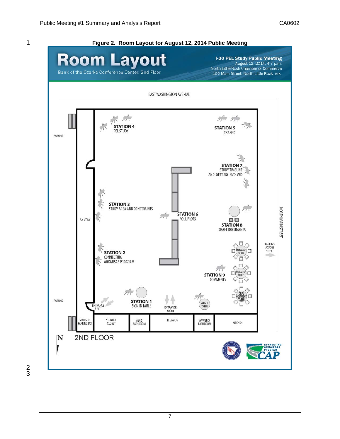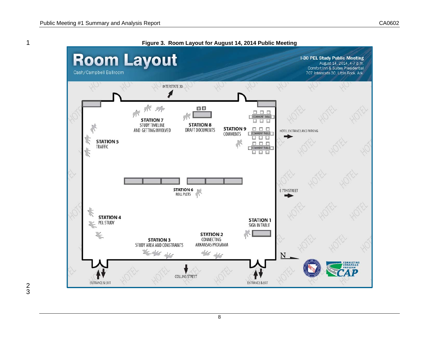

3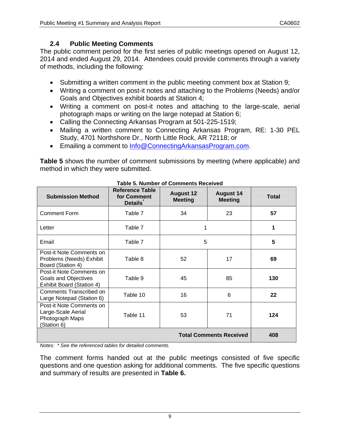## **2.4 Public Meeting Comments**

The public comment period for the first series of public meetings opened on August 12, 2014 and ended August 29, 2014. Attendees could provide comments through a variety of methods, including the following:

- Submitting a written comment in the public meeting comment box at Station 9;
- Writing a comment on post-it notes and attaching to the Problems (Needs) and/or Goals and Objectives exhibit boards at Station 4;
- Writing a comment on post-it notes and attaching to the large-scale, aerial photograph maps or writing on the large notepad at Station 6;
- Calling the Connecting Arkansas Program at 501-225-1519;
- Mailing a written comment to Connecting Arkansas Program, RE: 1-30 PEL Study, 4701 Northshore Dr., North Little Rock, AR 72118; or
- **Emailing a comment to Info@ConnectingArkansasProgram.com.**

**Table 5** shows the number of comment submissions by meeting (where applicable) and method in which they were submitted.

| <b>Submission Method</b>                                                                    | <b>Reference Table</b><br>for Comment<br><b>Details</b> | <b>August 12</b><br><b>Meeting</b> | <b>August 14</b><br><b>Meeting</b> | <b>Total</b> |
|---------------------------------------------------------------------------------------------|---------------------------------------------------------|------------------------------------|------------------------------------|--------------|
| <b>Comment Form</b>                                                                         | Table 7                                                 | 34                                 | 23                                 | 57           |
| Letter                                                                                      | Table 7                                                 | 1                                  |                                    | 1            |
| Email                                                                                       | Table 7                                                 | 5                                  |                                    | 5            |
| Post-it Note Comments on<br>Problems (Needs) Exhibit<br>Board (Station 4)                   | Table 8                                                 | 52                                 | 17                                 | 69           |
| Post-it Note Comments on<br><b>Goals and Objectives</b><br><b>Exhibit Board (Station 4)</b> | Table 9                                                 | 45                                 | 85                                 | 130          |
| Comments Transcribed on<br>Large Notepad (Station 6)                                        | Table 10                                                | 16                                 | 6                                  | 22           |
| Post-it Note Comments on<br>Large-Scale Aerial<br>Photograph Maps<br>(Station 6)            | Table 11                                                | 53                                 | 71                                 | 124          |
| <b>Total Comments Received</b>                                                              |                                                         |                                    |                                    | 408          |

**Table 5. Number of Comments Received** 

*Notes: \* See the referenced tables for detailed comments.* 

The comment forms handed out at the public meetings consisted of five specific questions and one question asking for additional comments. The five specific questions and summary of results are presented in **Table 6.**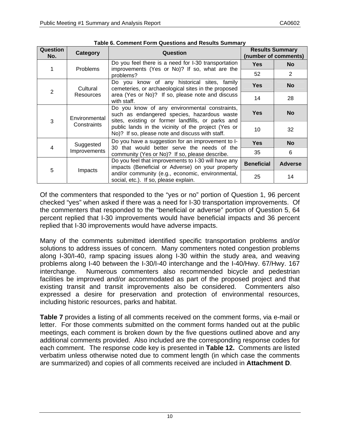| <b>Question</b><br>No. | <b>Category</b>              | Question                                                                                                                                          |                                                                                           | <b>Results Summary</b><br>(number of comments) |
|------------------------|------------------------------|---------------------------------------------------------------------------------------------------------------------------------------------------|-------------------------------------------------------------------------------------------|------------------------------------------------|
|                        |                              | Do you feel there is a need for I-30 transportation                                                                                               | <b>Yes</b>                                                                                | <b>No</b>                                      |
|                        | <b>Problems</b>              | improvements (Yes or No)? If so, what are the<br>problems?                                                                                        | 52                                                                                        | $\overline{2}$                                 |
| $\overline{2}$         | Cultural<br><b>Resources</b> | Do you know of any historical sites, family<br>cemeteries, or archaeological sites in the proposed                                                | <b>Yes</b>                                                                                | <b>No</b>                                      |
|                        |                              | area (Yes or No)? If so, please note and discuss<br>with staff.                                                                                   | 14                                                                                        | 28                                             |
| 3                      | Environmental<br>Constraints | Do you know of any environmental constraints,<br>such as endangered species, hazardous waste<br>sites, existing or former landfills, or parks and | <b>Yes</b>                                                                                | <b>No</b>                                      |
|                        |                              | public lands in the vicinity of the project (Yes or<br>No)? If so, please note and discuss with staff.                                            | 10                                                                                        | 32                                             |
| 4                      | Suggested<br>Improvements    | Do you have a suggestion for an improvement to I-<br>30 that would better serve the needs of the                                                  | <b>Yes</b>                                                                                | <b>No</b>                                      |
|                        |                              | community (Yes or No)? If so, please describe.                                                                                                    | 35                                                                                        | 6                                              |
| 5                      |                              | Do you feel that improvements to I-30 will have any<br>impacts (Beneficial or Adverse) on your property                                           | <b>Beneficial</b>                                                                         | <b>Adverse</b>                                 |
|                        |                              | Impacts                                                                                                                                           | and/or community (e.g., economic, environmental,<br>social, etc.). If so, please explain. | 25                                             |

**Table 6. Comment Form Questions and Results Summary** 

Of the commenters that responded to the "yes or no" portion of Question 1, 96 percent checked "yes" when asked if there was a need for I-30 transportation improvements. Of the commenters that responded to the "beneficial or adverse" portion of Question 5, 64 percent replied that I-30 improvements would have beneficial impacts and 36 percent replied that I-30 improvements would have adverse impacts.

Many of the comments submitted identified specific transportation problems and/or solutions to address issues of concern. Many commenters noted congestion problems along I-30/I-40, ramp spacing issues along I-30 within the study area, and weaving problems along I-40 between the I-30/I-40 interchange and the I-40/Hwy. 67/Hwy. 167 interchange. Numerous commenters also recommended bicycle and pedestrian facilities be improved and/or accommodated as part of the proposed project and that existing transit and transit improvements also be considered. Commenters also expressed a desire for preservation and protection of environmental resources, including historic resources, parks and habitat.

**Table 7** provides a listing of all comments received on the comment forms, via e-mail or letter. For those comments submitted on the comment forms handed out at the public meetings, each comment is broken down by the five questions outlined above and any additional comments provided. Also included are the corresponding response codes for each comment. The response code key is presented in **Table 12.** Comments are listed verbatim unless otherwise noted due to comment length (in which case the comments are summarized) and copies of all comments received are included in **Attachment D**.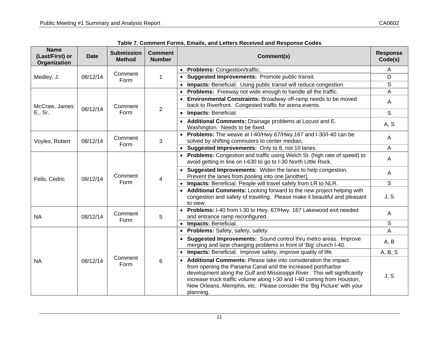| <b>Name</b><br>(Last/First) or<br>Organization | <b>Date</b> | <b>Submission</b><br><b>Method</b> | <b>Comment</b><br><b>Number</b> | Comment(s)                                                                                                                                                                                                                                                                                                                                                                  | <b>Response</b><br>Code(s) |
|------------------------------------------------|-------------|------------------------------------|---------------------------------|-----------------------------------------------------------------------------------------------------------------------------------------------------------------------------------------------------------------------------------------------------------------------------------------------------------------------------------------------------------------------------|----------------------------|
|                                                |             |                                    |                                 | Problems: Congestion/traffic.<br>$\bullet$                                                                                                                                                                                                                                                                                                                                  | A                          |
| Medley, J.                                     | 08/12/14    | Comment<br>Form                    | $\mathbf 1$                     | Suggested Improvements: Promote public transit.                                                                                                                                                                                                                                                                                                                             | D                          |
|                                                |             |                                    |                                 | Impacts: Beneficial. Using public transit will reduce congestion.                                                                                                                                                                                                                                                                                                           | S                          |
|                                                |             |                                    |                                 | Problems: Freeway not wide enough to handle all the traffic.                                                                                                                                                                                                                                                                                                                | A                          |
| McCraw, James                                  |             | Comment                            |                                 | Environmental Constraints: Broadway off-ramp needs to be moved<br>back to Riverfront. Congested traffic for arena events.                                                                                                                                                                                                                                                   | A                          |
| E., Sr.                                        | 08/12/14    | Form                               | $\overline{2}$                  | Impacts: Beneficial.<br>$\bullet$                                                                                                                                                                                                                                                                                                                                           | $\mathsf{S}$               |
|                                                |             |                                    |                                 | Additional Comments: Drainage problems at Locust and E.<br>Washington. Needs to be fixed.                                                                                                                                                                                                                                                                                   | A, S                       |
| Voyles, Robert                                 | 08/12/14    | Comment<br>Form                    | 3                               | Problems: The weave at I-40/Hwy.67/Hwy.167 and I-30/I-40 can be<br>solved by shifting commuters to center median.                                                                                                                                                                                                                                                           | A                          |
|                                                |             |                                    |                                 | Suggested Improvements: Only to 8, not 10 lanes.                                                                                                                                                                                                                                                                                                                            | A                          |
|                                                | 08/12/14    | Comment<br>Form                    | 4                               | • Problems: Congestion and traffic using Welch St. (high rate of speed) to<br>avoid getting in line on I-630 to go to I-30 North Little Rock.                                                                                                                                                                                                                               | A                          |
| Fells, Cedric                                  |             |                                    |                                 | Suggested Improvements: Widen the lanes to help congestion.<br>Prevent the lanes from pooling into one [another].                                                                                                                                                                                                                                                           | A                          |
|                                                |             |                                    |                                 | Impacts: Beneficial. People will travel safely from LR to NLR.                                                                                                                                                                                                                                                                                                              | S                          |
|                                                |             |                                    |                                 | Additional Comments: Looking forward to the new project helping with<br>congestion and safety of traveling. Please make it beautiful and pleasant<br>to view.                                                                                                                                                                                                               | J, S                       |
| <b>NA</b>                                      | 08/12/14    | Comment<br>Form                    | 5                               | Problems: I-40 from I-30 to Hwy. 67/Hwy. 167 Lakewood exit needed<br>and entrance ramp reconfigured.                                                                                                                                                                                                                                                                        | A                          |
|                                                |             |                                    |                                 | Impacts: Beneficial.                                                                                                                                                                                                                                                                                                                                                        | S                          |
|                                                |             |                                    |                                 | Problems: Safety, safety, safety.                                                                                                                                                                                                                                                                                                                                           | A                          |
|                                                |             |                                    |                                 | Suggested Improvements: Sound control thru metro areas. Improve<br>$\bullet$<br>merging and lane changing problems in front of 'Big' church I-40.                                                                                                                                                                                                                           | A, B                       |
|                                                |             |                                    |                                 | Impacts: Beneficial. Improve safety, improve quality of life.                                                                                                                                                                                                                                                                                                               | A, B, S                    |
| <b>NA</b>                                      | 08/12/14    | Comment<br>Form                    | 6                               | Additional Comments: Please take into consideration the impact<br>from opening the Panama Canal and the increased port/harbor<br>development along the Gulf and Mississippi River. This will significantly<br>increase truck traffic volume along I-30 and I-40 coming from Houston,<br>New Orleans, Memphis, etc. Please consider the 'Big Picture' with your<br>planning. | J, S                       |

**Table 7. Comment Forms, Emails, and Letters Received and Response Codes**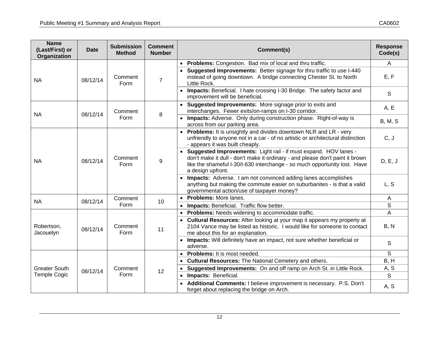| <b>Name</b><br>(Last/First) or<br>Organization | <b>Date</b> | <b>Submission</b><br><b>Method</b>                    | <b>Comment</b><br><b>Number</b> | Comment(s)                                                                                                                                                                                                                                          | <b>Response</b><br>Code(s) |
|------------------------------------------------|-------------|-------------------------------------------------------|---------------------------------|-----------------------------------------------------------------------------------------------------------------------------------------------------------------------------------------------------------------------------------------------------|----------------------------|
|                                                |             |                                                       |                                 | • Problems: Congestion. Bad mix of local and thru traffic.                                                                                                                                                                                          | A                          |
| NA                                             | 08/12/14    | Comment<br>Form                                       | $\overline{7}$                  | Suggested Improvements: Better signage for thru traffic to use I-440<br>instead of going downtown. A bridge connecting Chester St. to North<br>Little Rock.                                                                                         | E, F                       |
|                                                |             |                                                       |                                 | Impacts: Beneficial. I hate crossing I-30 Bridge. The safety factor and<br>improvement will be beneficial.                                                                                                                                          | S                          |
| <b>NA</b>                                      | 08/12/14    | Comment                                               | 8                               | Suggested Improvements: More signage prior to exits and<br>interchanges. Fewer exits/on-ramps on I-30 corridor.                                                                                                                                     | A, E                       |
|                                                |             | Form                                                  |                                 | Impacts: Adverse. Only during construction phase. Right-of-way is<br>across from our parking area.                                                                                                                                                  | <b>B, M, S</b>             |
| <b>NA</b>                                      | 08/12/14    |                                                       | 9                               | <b>Problems:</b> It is unsightly and divides downtown NLR and LR - very<br>unfriendly to anyone not in a car - of no artistic or architectural distinction<br>- appears it was built cheaply.                                                       | C, J                       |
|                                                |             | Comment<br>Form                                       |                                 | Suggested Improvements: Light rail - if must expand. HOV lanes -<br>don't make it dull - don't make it ordinary - and please don't paint it brown<br>like the shameful I-30/I-630 interchange - so much opportunity lost. Have<br>a design upfront. | D, E, J                    |
|                                                |             |                                                       |                                 | Impacts: Adverse. I am not convinced adding lanes accomplishes<br>anything but making the commute easier on suburbanites - is that a valid<br>governmental action/use of taxpayer money?                                                            | L, S                       |
| <b>NA</b>                                      | 08/12/14    | Comment<br>Form<br>Comment<br>Form<br>Comment<br>Form | 10                              | <b>Problems: More lanes.</b><br>$\bullet$                                                                                                                                                                                                           | $\mathsf{A}$               |
|                                                |             |                                                       |                                 | Impacts: Beneficial. Traffic flow better.                                                                                                                                                                                                           | S                          |
|                                                |             |                                                       |                                 | Problems: Needs widening to accommodate traffic.                                                                                                                                                                                                    | A                          |
| Robertson,<br>Jacouelyn                        | 08/12/14    |                                                       | 11                              | Cultural Resources: After looking at your map it appears my property at<br>2104 Vance may be listed as historic. I would like for someone to contact<br>me about this for an explanation.                                                           | B, N                       |
|                                                |             |                                                       |                                 | Impacts: Will definitely have an impact, not sure whether beneficial or<br>adverse.                                                                                                                                                                 | S                          |
|                                                |             |                                                       |                                 | Problems: It is most needed.                                                                                                                                                                                                                        | S                          |
|                                                |             |                                                       |                                 | Cultural Resources: The National Cemetery and others.                                                                                                                                                                                               | B, H                       |
| <b>Greater South</b>                           | 08/12/14    |                                                       | 12                              | Suggested Improvements: On and off ramp on Arch St. in Little Rock.<br>$\bullet$                                                                                                                                                                    | A, S                       |
| <b>Temple Cogic</b>                            |             |                                                       |                                 | Impacts: Beneficial.<br>$\bullet$                                                                                                                                                                                                                   | $\mathsf{S}$               |
|                                                |             |                                                       |                                 | Additional Comments: I believe improvement is necessary. P.S. Don't<br>forget about replacing the bridge on Arch.                                                                                                                                   | A, S                       |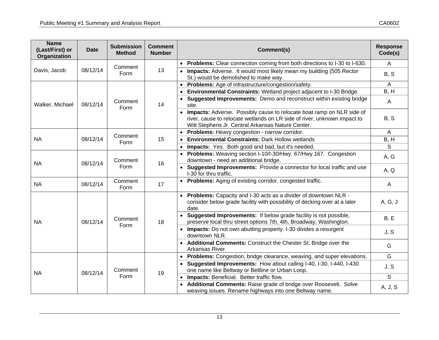| <b>Name</b><br>(Last/First) or<br>Organization | <b>Date</b> | <b>Submission</b><br><b>Method</b> | <b>Comment</b><br><b>Number</b> | Comment(s)                                                                                                                                                                                             | <b>Response</b><br>Code(s) |
|------------------------------------------------|-------------|------------------------------------|---------------------------------|--------------------------------------------------------------------------------------------------------------------------------------------------------------------------------------------------------|----------------------------|
|                                                |             | Comment                            |                                 | • Problems: Clear connection coming from both directions to I-30 to I-630.                                                                                                                             | A                          |
| Davis, Jacob                                   | 08/12/14    | Form                               | 13                              | Impacts: Adverse. It would most likely mean my building (505 Rector<br>St.) would be demolished to make way.                                                                                           | B, S                       |
|                                                |             |                                    |                                 | Problems: Age of infrastructure/congestion/safety.                                                                                                                                                     | $\overline{A}$             |
|                                                |             |                                    |                                 | Environmental Constraints: Wetland project adjacent to I-30 Bridge.                                                                                                                                    | B, H                       |
| Walker, Michael                                | 08/12/14    | Comment<br>Form                    | 14                              | Suggested Improvements: Demo and reconstruct within existing bridge<br>site.                                                                                                                           | A                          |
|                                                |             |                                    |                                 | Impacts: Adverse. Possibly cause to relocate boat ramp on NLR side of<br>river, cause to relocate wetlands on LR side of river, unknown impact to<br>Witt Stephens Jr. Central Arkansas Nature Center. | B, S                       |
|                                                |             | Comment                            |                                 | Problems: Heavy congestion - narrow corridor.                                                                                                                                                          | A                          |
| <b>NA</b>                                      | 08/12/14    | Form                               | 15                              | <b>Environmental Constraints: Dark Hollow wetlands</b>                                                                                                                                                 | B, H                       |
|                                                |             |                                    |                                 | Impacts: Yes. Both good and bad, but it's needed.                                                                                                                                                      | S                          |
| <b>NA</b>                                      | 08/12/14    | Comment<br>Form                    | 16                              | • Problems: Weaving section I-10/I-30/Hwy. 67/Hwy.167. Congestion<br>downtown - need an additional bridge.                                                                                             | A, G                       |
|                                                |             |                                    |                                 | Suggested Improvements: Provide a connector for local traffic and use<br>I-30 for thru traffic.                                                                                                        | A, Q                       |
| <b>NA</b>                                      | 08/12/14    | Comment<br>Form                    | 17                              | • Problems: Aging of existing corridor, congested traffic.                                                                                                                                             | $\mathsf{A}$               |
|                                                |             |                                    |                                 | Problems: Capacity and I-30 acts as a divider of downtown NLR -<br>consider below grade facility with possibility of decking over at a later<br>date.                                                  | A, G, J                    |
| <b>NA</b>                                      | 08/12/14    | Comment<br>Form                    | 18                              | Suggested Improvements: If below grade facility is not possible,<br>preserve local thru street options 7th, 4th, Broadway, Washington.                                                                 | B, E                       |
|                                                |             |                                    |                                 | • Impacts: Do not own abutting property. I-30 divides a resurgent<br>downtown NLR.                                                                                                                     | J, S                       |
|                                                |             |                                    |                                 | • Additional Comments: Construct the Chester St. Bridge over the<br>Arkansas River.                                                                                                                    | G                          |
|                                                |             |                                    |                                 | Problems: Congestion, bridge clearance, weaving, and super elevations.<br>$\bullet$                                                                                                                    | G                          |
| <b>NA</b>                                      | 08/12/14    | Comment                            | 19                              | Suggested Improvements: How about calling I-40, I-30, I-440, I-430<br>one name like Beltway or Beltline or Urban Loop.                                                                                 | J, S                       |
|                                                |             | Form                               |                                 | • Impacts: Beneficial. Better traffic flow.                                                                                                                                                            | S                          |
|                                                |             |                                    |                                 | Additional Comments: Raise grade of bridge over Roosevelt. Solve<br>weaving issues. Rename highways into one Beltway name.                                                                             | A, J, S                    |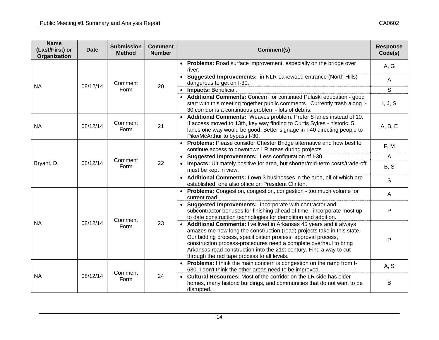| <b>Name</b><br>(Last/First) or<br>Organization | <b>Date</b> | <b>Submission</b><br><b>Method</b> | <b>Comment</b><br><b>Number</b> | Comment(s)                                                                                                                                                                                                                                                                                                                                                                                                  | <b>Response</b><br>Code(s) |
|------------------------------------------------|-------------|------------------------------------|---------------------------------|-------------------------------------------------------------------------------------------------------------------------------------------------------------------------------------------------------------------------------------------------------------------------------------------------------------------------------------------------------------------------------------------------------------|----------------------------|
|                                                |             |                                    |                                 | • Problems: Road surface improvement, especially on the bridge over<br>river.<br>• Suggested Improvements: in NLR Lakewood entrance (North Hills)                                                                                                                                                                                                                                                           | A, G                       |
| <b>NA</b>                                      | 08/12/14    | Comment                            | 20                              | dangerous to get on I-30.                                                                                                                                                                                                                                                                                                                                                                                   | $\mathsf{A}$               |
|                                                |             | Form                               |                                 | • Impacts: Beneficial.<br>• Additional Comments: Concern for continued Pulaski education - good                                                                                                                                                                                                                                                                                                             | $\mathsf{S}$               |
|                                                |             |                                    |                                 | start with this meeting together public comments. Currently trash along I-<br>30 corridor is a continuous problem - lots of debris.                                                                                                                                                                                                                                                                         | I, J, S                    |
| <b>NA</b>                                      | 08/12/14    | Comment<br>Form                    | 21                              | • Additional Comments: Weaves problem. Prefer 8 lanes instead of 10.<br>If access moved to 13th, key way finding to Curtis Sykes - historic. 5<br>lanes one way would be good. Better signage in I-40 directing people to<br>Pike/McArthur to bypass I-30.                                                                                                                                                  | A, B, E                    |
|                                                |             | Comment<br>Form                    | 22                              | • Problems: Please consider Chester Bridge alternative and how best to<br>continue access to downtown LR areas during projects.                                                                                                                                                                                                                                                                             | F, M                       |
|                                                | 08/12/14    |                                    |                                 | Suggested Improvements: Less configuration of I-30.<br>$\bullet$                                                                                                                                                                                                                                                                                                                                            | $\overline{A}$             |
| Bryant, D.                                     |             |                                    |                                 | Impacts: Ultimately positive for area, but shorter/mid-term costs/trade-off<br>must be kept in view.                                                                                                                                                                                                                                                                                                        | B, S                       |
|                                                |             |                                    |                                 | • Additional Comments: I own 3 businesses in the area, all of which are<br>established, one also office on President Clinton.                                                                                                                                                                                                                                                                               | S                          |
|                                                |             |                                    |                                 | Problems: Congestion, congestion, congestion - too much volume for<br>current road.                                                                                                                                                                                                                                                                                                                         | A                          |
|                                                |             | Comment<br>Form                    | 23                              | • Suggested Improvements: Incorporate with contractor and<br>subcontractor bonuses for finishing ahead of time - incorporate most up<br>to date construction technologies for demolition and addition.                                                                                                                                                                                                      | P                          |
| <b>NA</b>                                      | 08/12/14    |                                    |                                 | • Additional Comments: I've lived in Arkansas 45 years and it always<br>amazes me how long the construction (road) projects take in this state.<br>Our bidding process, specification process, approval process,<br>construction process-procedures need a complete overhaul to bring<br>Arkansas road construction into the 21st century. Find a way to cut<br>through the red tape process to all levels. | P                          |
|                                                |             |                                    |                                 | Problems: I think the main concern is congestion on the ramp from I-<br>630. I don't think the other areas need to be improved.                                                                                                                                                                                                                                                                             | A, S                       |
| <b>NA</b>                                      | 08/12/14    | Comment<br>Form                    | 24                              | <b>Cultural Resources:</b> Most of the corridor on the LR side has older<br>homes, many historic buildings, and communities that do not want to be<br>disrupted.                                                                                                                                                                                                                                            | В                          |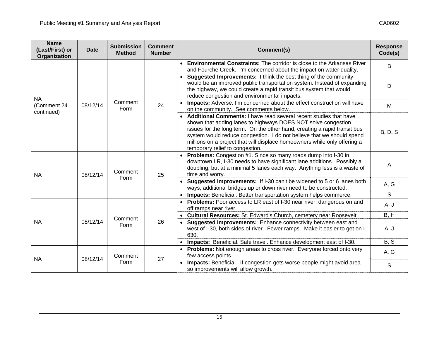| <b>Name</b><br>(Last/First) or<br>Organization | <b>Date</b> | <b>Submission</b><br><b>Method</b> | <b>Comment</b><br><b>Number</b> | Comment(s)                                                                                                                                                                                                                                                                                                                                                                                                 | <b>Response</b><br>Code(s) |
|------------------------------------------------|-------------|------------------------------------|---------------------------------|------------------------------------------------------------------------------------------------------------------------------------------------------------------------------------------------------------------------------------------------------------------------------------------------------------------------------------------------------------------------------------------------------------|----------------------------|
|                                                |             |                                    |                                 | • Environmental Constraints: The corridor is close to the Arkansas River<br>and Fourche Creek. I'm concerned about the impact on water quality.                                                                                                                                                                                                                                                            | B                          |
| <b>NA</b>                                      |             |                                    | 24                              | • Suggested Improvements: I think the best thing of the community<br>would be an improved public transportation system. Instead of expanding<br>the highway, we could create a rapid transit bus system that would<br>reduce congestion and environmental impacts.                                                                                                                                         | D                          |
| (Comment 24<br>continued)                      | 08/12/14    | Comment<br>Form                    |                                 | Impacts: Adverse. I'm concerned about the effect construction will have<br>on the community. See comments below.                                                                                                                                                                                                                                                                                           | M                          |
|                                                |             |                                    |                                 | • Additional Comments: I have read several recent studies that have<br>shown that adding lanes to highways DOES NOT solve congestion<br>issues for the long term. On the other hand, creating a rapid transit bus<br>system would reduce congestion. I do not believe that we should spend<br>millions on a project that will displace homeowners while only offering a<br>temporary relief to congestion. | <b>B, D, S</b>             |
| <b>NA</b>                                      | 08/12/14    | Comment<br>Form                    | 25                              | Problems: Congestion #1. Since so many roads dump into I-30 in<br>downtown LR, I-30 needs to have significant lane additions. Possibly a<br>doubling, but at a minimal 5 lanes each way. Anything less is a waste of<br>time and worry.                                                                                                                                                                    | A                          |
|                                                |             |                                    |                                 | Suggested Improvements: If I-30 can't be widened to 5 or 6 lanes both<br>$\bullet$<br>ways, additional bridges up or down river need to be constructed.                                                                                                                                                                                                                                                    | A, G                       |
|                                                |             |                                    |                                 | Impacts: Beneficial. Better transportation system helps commerce.                                                                                                                                                                                                                                                                                                                                          | S                          |
|                                                |             |                                    |                                 | • Problems: Poor access to LR east of I-30 near river; dangerous on and<br>off ramps near river.                                                                                                                                                                                                                                                                                                           | A, J                       |
|                                                |             | Comment                            |                                 | Cultural Resources: St. Edward's Church, cemetery near Roosevelt.                                                                                                                                                                                                                                                                                                                                          | B, H                       |
| <b>NA</b>                                      | 08/12/14    | Form                               | 26                              | Suggested Improvements: Enhance connectivity between east and<br>west of I-30, both sides of river. Fewer ramps. Make it easier to get on I-<br>630.                                                                                                                                                                                                                                                       | A, J                       |
|                                                |             |                                    |                                 | Impacts: Beneficial. Safe travel. Enhance development east of I-30.                                                                                                                                                                                                                                                                                                                                        | B, S                       |
| <b>NA</b>                                      | 08/12/14    | Comment                            | 27                              | • Problems: Not enough areas to cross river. Everyone forced onto very<br>few access points.                                                                                                                                                                                                                                                                                                               | A, G                       |
|                                                |             |                                    | Form                            | Impacts: Beneficial. If congestion gets worse people might avoid area<br>so improvements will allow growth.                                                                                                                                                                                                                                                                                                | S                          |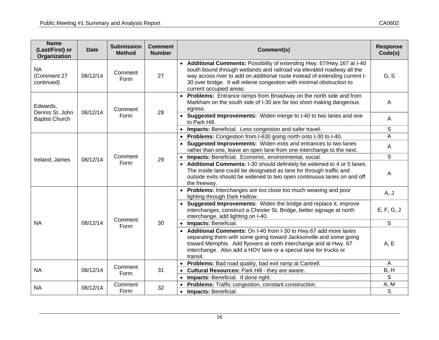| <b>Name</b><br>(Last/First) or<br>Organization | <b>Date</b> | <b>Submission</b><br><b>Method</b> | <b>Comment</b><br><b>Number</b> | Comment(s)                                                                                                                                                                                                                                                                                                                            | <b>Response</b><br>Code(s) |
|------------------------------------------------|-------------|------------------------------------|---------------------------------|---------------------------------------------------------------------------------------------------------------------------------------------------------------------------------------------------------------------------------------------------------------------------------------------------------------------------------------|----------------------------|
| <b>NA</b><br>(Comment 27<br>continued)         | 08/12/14    | Comment<br>Form                    | 27                              | • Additional Comments: Possibility of extending Hwy. 67/Hwy.167 at I-40<br>south bound through wetlands and railroad via elevated roadway all the<br>way across river to add on additional route instead of extending current I-<br>30 over bridge. It will relieve congestion with minimal obstruction to<br>current occupied areas. | G, S                       |
| Edwards,<br>Dennis St. John                    | 08/12/14    | Comment                            | 28                              | • Problems: Entrance ramps from Broadway on the north side and from<br>Markham on the south side of I-30 are far too short making dangerous<br>egress.                                                                                                                                                                                | $\mathsf{A}$               |
| <b>Baptist Church</b>                          |             | Form                               |                                 | • Suggested Improvements: Widen merge to I-40 to two lanes and one<br>to Park Hill.                                                                                                                                                                                                                                                   | $\mathsf{A}$               |
|                                                |             |                                    |                                 | Impacts: Beneficial. Less congestion and safer travel.                                                                                                                                                                                                                                                                                | S                          |
|                                                |             |                                    |                                 | Problems: Congestion from I-630 going north onto I-30 to I-40.<br>$\bullet$                                                                                                                                                                                                                                                           | $\overline{A}$             |
|                                                | 08/12/14    | Comment<br>Form                    | 29                              | • Suggested Improvements: Widen exits and entrances to two lanes<br>rather than one, leave an open lane from one interchange to the next.                                                                                                                                                                                             | $\mathsf{A}$               |
| Ireland, James                                 |             |                                    |                                 | Impacts: Beneficial. Economic, environmental, social.                                                                                                                                                                                                                                                                                 | S                          |
|                                                |             |                                    |                                 | • Additional Comments: I-30 should definitely be widened to 4 or 5 lanes.<br>The inside lane could be designated as lane for through traffic and<br>outside exits should be widened to two open continuous lanes on and off<br>the freeway.                                                                                           | $\overline{A}$             |
|                                                |             |                                    |                                 | Problems: Interchanges are too close too much weaving and poor<br>lighting through Dark Hallow.                                                                                                                                                                                                                                       | A, J                       |
|                                                |             | Comment                            |                                 | Suggested Improvements: Widen the bridge and replace it, improve<br>interchanges, construct a Chester St. Bridge, better signage at north<br>interchange, add lighting on I-40.                                                                                                                                                       | E, F, G, J                 |
| <b>NA</b>                                      | 08/12/14    | Form                               | 30                              | Impacts: Beneficial.                                                                                                                                                                                                                                                                                                                  | S                          |
|                                                |             |                                    |                                 | Additional Comments: On I-40 from I-30 to Hwy.67 add more lanes<br>separating them with some going toward Jacksonville and some going<br>toward Memphis. Add flyovers at north interchange and at Hwy. 67<br>interchange. Also add a HOV lane or a special lane for trucks or<br>transit.                                             | A, E                       |
|                                                |             | Comment                            |                                 | Problems: Bad road quality, bad exit ramp at Cantrell.                                                                                                                                                                                                                                                                                | $\overline{A}$             |
| <b>NA</b>                                      | 08/12/14    | Form                               | 31                              | Cultural Resources: Park Hill - they are aware.                                                                                                                                                                                                                                                                                       | B, H                       |
|                                                |             |                                    |                                 | Impacts: Beneficial. If done right.                                                                                                                                                                                                                                                                                                   | $\mathsf{S}$               |
| <b>NA</b>                                      | 08/12/14    | Comment                            | 32                              | Problems: Traffic congestion, constant construction.                                                                                                                                                                                                                                                                                  | A, M                       |
|                                                |             | Form                               |                                 | <b>Impacts: Beneficial.</b>                                                                                                                                                                                                                                                                                                           | S                          |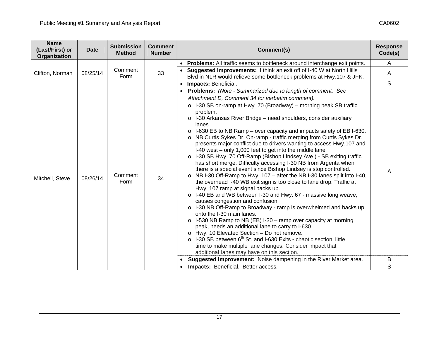| <b>Name</b><br>(Last/First) or<br>Organization | <b>Date</b> | <b>Submission</b><br><b>Method</b> | <b>Comment</b><br><b>Number</b> | Comment(s)                                                                                                                                                                                                                                                                                                                                                                                                                                                                                                                                                                                                                                                                                                                                                                                                                                                                                                                                                                                                                                                                                                                                                                                                                                                                                                                                                                                                                                                                                                                                                                                                 | <b>Response</b><br>Code(s) |
|------------------------------------------------|-------------|------------------------------------|---------------------------------|------------------------------------------------------------------------------------------------------------------------------------------------------------------------------------------------------------------------------------------------------------------------------------------------------------------------------------------------------------------------------------------------------------------------------------------------------------------------------------------------------------------------------------------------------------------------------------------------------------------------------------------------------------------------------------------------------------------------------------------------------------------------------------------------------------------------------------------------------------------------------------------------------------------------------------------------------------------------------------------------------------------------------------------------------------------------------------------------------------------------------------------------------------------------------------------------------------------------------------------------------------------------------------------------------------------------------------------------------------------------------------------------------------------------------------------------------------------------------------------------------------------------------------------------------------------------------------------------------------|----------------------------|
| Clifton, Norman                                | 08/25/14    | Comment<br>Form                    | 33                              | <b>Problems:</b> All traffic seems to bottleneck around interchange exit points.<br>Suggested Improvements: I think an exit off of I-40 W at North Hills<br>Blvd in NLR would relieve some bottleneck problems at Hwy.107 & JFK.<br>Impacts: Beneficial.                                                                                                                                                                                                                                                                                                                                                                                                                                                                                                                                                                                                                                                                                                                                                                                                                                                                                                                                                                                                                                                                                                                                                                                                                                                                                                                                                   | A<br>A<br>S                |
| Mitchell, Steve                                | 08/26/14    | Comment<br>Form                    | 34                              | • Problems: (Note - Summarized due to length of comment. See<br>Attachment D, Comment 34 for verbatim comment).<br>$\circ$ I-30 SB on-ramp at Hwy. 70 (Broadway) – morning peak SB traffic<br>problem.<br>o I-30 Arkansas River Bridge - need shoulders, consider auxiliary<br>lanes.<br>I-630 EB to NB Ramp – over capacity and impacts safety of EB I-630.<br>$\circ$<br>NB Curtis Sykes Dr. On-ramp - traffic merging from Curtis Sykes Dr.<br>$\circ$<br>presents major conflict due to drivers wanting to access Hwy.107 and<br>I-40 west - only 1,000 feet to get into the middle lane.<br>o I-30 SB Hwy. 70 Off-Ramp (Bishop Lindsey Ave.) - SB exiting traffic<br>has short merge. Difficulty accessing I-30 NB from Argenta when<br>there is a special event since Bishop Lindsey is stop controlled.<br>NB I-30 Off-Ramp to Hwy. 107 - after the NB I-30 lanes split into I-40,<br>$\circ$<br>the overhead I-40 WB exit sign is too close to lane drop. Traffic at<br>Hwy. 107 ramp at signal backs up.<br>o I-40 EB and WB between I-30 and Hwy. 67 - massive long weave,<br>causes congestion and confusion.<br>o I-30 NB Off-Ramp to Broadway - ramp is overwhelmed and backs up<br>onto the I-30 main lanes.<br>$\circ$ 1-530 NB Ramp to NB (EB) 1-30 – ramp over capacity at morning<br>peak, needs an additional lane to carry to I-630.<br>o Hwy. 10 Elevated Section - Do not remove.<br>$\circ$ I-30 SB between 6 <sup>th</sup> St. and I-630 Exits - chaotic section, little<br>time to make multiple lane changes. Consider impact that<br>additional lanes may have on this section. | A                          |
|                                                |             |                                    |                                 | Suggested Improvement: Noise dampening in the River Market area.                                                                                                                                                                                                                                                                                                                                                                                                                                                                                                                                                                                                                                                                                                                                                                                                                                                                                                                                                                                                                                                                                                                                                                                                                                                                                                                                                                                                                                                                                                                                           | B                          |
|                                                |             |                                    |                                 | Impacts: Beneficial. Better access.                                                                                                                                                                                                                                                                                                                                                                                                                                                                                                                                                                                                                                                                                                                                                                                                                                                                                                                                                                                                                                                                                                                                                                                                                                                                                                                                                                                                                                                                                                                                                                        | S                          |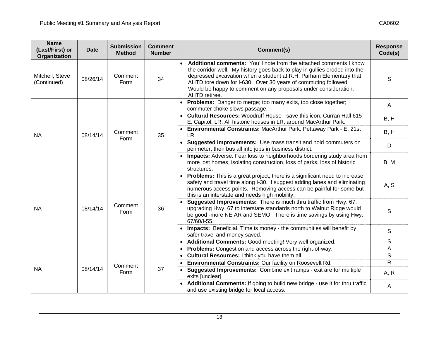| <b>Name</b><br>(Last/First) or<br>Organization | <b>Date</b> | <b>Submission</b><br><b>Method</b> | <b>Comment</b><br><b>Number</b> | Comment(s)                                                                                                                                                                                                                                                                                                                                                                                | <b>Response</b><br>Code(s) |
|------------------------------------------------|-------------|------------------------------------|---------------------------------|-------------------------------------------------------------------------------------------------------------------------------------------------------------------------------------------------------------------------------------------------------------------------------------------------------------------------------------------------------------------------------------------|----------------------------|
| Mitchell, Steve<br>(Continued)                 | 08/26/14    | Comment<br>Form                    | 34                              | Additional comments: You'll note from the attached comments I know<br>$\bullet$<br>the corridor well. My history goes back to play in gullies eroded into the<br>depressed excavation when a student at R.H. Parham Elementary that<br>AHTD tore down for I-630. Over 30 years of commuting followed.<br>Would be happy to comment on any proposals under consideration.<br>AHTD retiree. | S                          |
|                                                |             |                                    |                                 | • Problems: Danger to merge; too many exits, too close together;<br>commuter choke slows passage.                                                                                                                                                                                                                                                                                         | $\mathsf{A}$               |
|                                                |             |                                    | 35                              | • Cultural Resources: Woodruff House - save this icon. Curran Hall 615<br>E. Capitol, LR. All historic houses in LR, around MacArthur Park.                                                                                                                                                                                                                                               | B, H                       |
| <b>NA</b>                                      | 08/14/14    | Comment<br>Form                    |                                 | • Environmental Constraints: MacArthur Park. Pettaway Park - E. 21st<br>LR.                                                                                                                                                                                                                                                                                                               | B, H                       |
|                                                |             |                                    |                                 | • Suggested Improvements: Use mass transit and hold commuters on<br>perimeter, then bus all into jobs in business district.                                                                                                                                                                                                                                                               | D                          |
|                                                |             |                                    |                                 | • Impacts: Adverse. Fear loss to neighborhoods bordering study area from<br>more lost homes, isolating construction, loss of parks, loss of historic<br>structures.                                                                                                                                                                                                                       | B, M                       |
|                                                |             |                                    | 36                              | <b>Problems:</b> This is a great project; there is a significant need to increase<br>safety and travel time along I-30. I suggest adding lanes and eliminating<br>numerous access points. Removing access can be painful for some but<br>this is an interstate and needs high mobility.                                                                                                   | A, S                       |
| <b>NA</b>                                      | 08/14/14    | Comment<br>Form                    |                                 | <b>Suggested Improvements:</b> There is much thru traffic from Hwy. 67;<br>upgrading Hwy. 67 to interstate standards north to Walnut Ridge would<br>be good -more NE AR and SEMO. There is time savings by using Hwy.<br>67/60/I-55.                                                                                                                                                      | S                          |
|                                                |             |                                    |                                 | • Impacts: Beneficial. Time is money - the communities will benefit by<br>safer travel and money saved.                                                                                                                                                                                                                                                                                   | S                          |
|                                                |             |                                    |                                 | Additional Comments: Good meeting! Very well organized.                                                                                                                                                                                                                                                                                                                                   | S                          |
|                                                |             |                                    |                                 | Problems: Congestion and access across the right-of-way.<br>$\bullet$                                                                                                                                                                                                                                                                                                                     | A                          |
|                                                |             |                                    |                                 | Cultural Resources: I think you have them all.                                                                                                                                                                                                                                                                                                                                            | $\mathsf S$                |
| <b>NA</b>                                      |             | Comment                            |                                 | Environmental Constraints: Our facility on Roosevelt Rd.                                                                                                                                                                                                                                                                                                                                  | $\mathsf{R}$               |
|                                                |             | 08/14/14<br>Form                   | 37                              | <b>Suggested Improvements:</b> Combine exit ramps - exit are for multiple<br>exits [unclear].                                                                                                                                                                                                                                                                                             | A, R                       |
|                                                |             |                                    |                                 | Additional Comments: If going to build new bridge - use it for thru traffic<br>and use existing bridge for local access.                                                                                                                                                                                                                                                                  | A                          |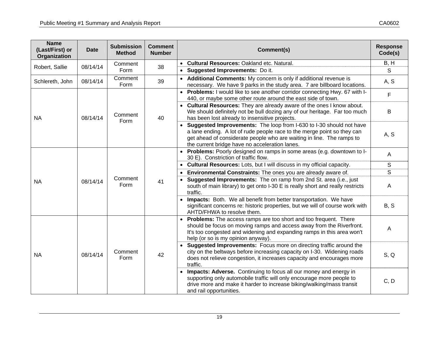| <b>Name</b><br>(Last/First) or<br><b>Organization</b> | <b>Date</b> | <b>Submission</b><br><b>Method</b> | <b>Comment</b><br><b>Number</b> | Comment(s)                                                                                                                                                                                                                                                                   | <b>Response</b><br>Code(s) |
|-------------------------------------------------------|-------------|------------------------------------|---------------------------------|------------------------------------------------------------------------------------------------------------------------------------------------------------------------------------------------------------------------------------------------------------------------------|----------------------------|
| Robert, Sallie                                        | 08/14/14    | Comment                            | 38                              | <b>Cultural Resources: Oakland etc. Natural.</b><br>$\bullet$                                                                                                                                                                                                                | B, H                       |
|                                                       |             | Form                               |                                 | • Suggested Improvements: Do it.                                                                                                                                                                                                                                             | $\mathsf{S}$               |
| Schlereth, John                                       | 08/14/14    | Comment<br>Form                    | 39                              | Additional Comments: My concern is only if additional revenue is<br>necessary. We have 9 parks in the study area. 7 are billboard locations.                                                                                                                                 | A, S                       |
|                                                       |             |                                    |                                 | Problems: I would like to see another corridor connecting Hwy. 67 with I-<br>440, or maybe some other route around the east side of town.                                                                                                                                    | F                          |
| <b>NA</b>                                             | 08/14/14    | Comment<br>Form                    | 40                              | Cultural Resources: They are already aware of the ones I know about.<br>We should definitely not be bull dozing any of our heritage. Far too much<br>has been lost already to insensitive projects.                                                                          | В                          |
|                                                       |             |                                    |                                 | Suggested Improvements: The loop from I-630 to I-30 should not have<br>a lane ending. A lot of rude people race to the merge point so they can<br>get ahead of considerate people who are waiting in line. The ramps to<br>the current bridge have no acceleration lanes.    | A, S                       |
|                                                       | 08/14/14    | Comment<br>Form                    | 41                              | Problems: Poorly designed on ramps in some areas (e.g. downtown to I-<br>$\bullet$<br>30 E). Constriction of traffic flow.                                                                                                                                                   | A                          |
|                                                       |             |                                    |                                 | Cultural Resources: Lots, but I will discuss in my official capacity.<br>$\bullet$                                                                                                                                                                                           | S                          |
|                                                       |             |                                    |                                 | Environmental Constraints: The ones you are already aware of.<br>$\bullet$                                                                                                                                                                                                   | S                          |
| <b>NA</b>                                             |             |                                    |                                 | <b>Suggested Improvements:</b> The on ramp from 2nd St. area (i.e., just<br>south of main library) to get onto I-30 E is really short and really restricts<br>traffic.                                                                                                       | Α                          |
|                                                       |             |                                    |                                 | Impacts: Both. We all benefit from better transportation. We have<br>significant concerns re: historic properties, but we will of course work with<br>AHTD/FHWA to resolve them.                                                                                             | B, S                       |
|                                                       |             |                                    | 42                              | <b>Problems:</b> The access ramps are too short and too frequent. There<br>$\bullet$<br>should be focus on moving ramps and access away from the Riverfront.<br>It's too congested and widening and expanding ramps in this area won't<br>help (or so is my opinion anyway). | A                          |
| <b>NA</b>                                             | 08/14/14    | Comment<br>Form                    |                                 | Suggested Improvements: Focus more on directing traffic around the<br>city on the beltways before increasing capacity on I-30. Widening roads<br>does not relieve congestion, it increases capacity and encourages more<br>traffic.                                          | S, Q                       |
|                                                       |             |                                    |                                 | Impacts: Adverse. Continuing to focus all our money and energy in<br>supporting only automobile traffic will only encourage more people to<br>drive more and make it harder to increase biking/walking/mass transit<br>and rail opportunities.                               | C, D                       |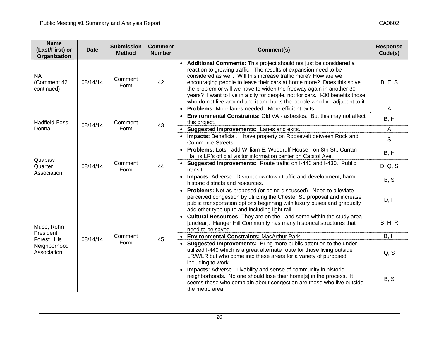| <b>Name</b><br>(Last/First) or<br>Organization | <b>Date</b> | <b>Submission</b><br><b>Method</b> | <b>Comment</b><br><b>Number</b> | Comment(s)                                                                                                                                                                                                                                                                                                                                                                                                                                                                                                               | <b>Response</b><br>Code(s) |
|------------------------------------------------|-------------|------------------------------------|---------------------------------|--------------------------------------------------------------------------------------------------------------------------------------------------------------------------------------------------------------------------------------------------------------------------------------------------------------------------------------------------------------------------------------------------------------------------------------------------------------------------------------------------------------------------|----------------------------|
| <b>NA</b><br>(Comment 42<br>continued)         | 08/14/14    | Comment<br>Form                    | 42                              | Additional Comments: This project should not just be considered a<br>reaction to growing traffic. The results of expansion need to be<br>considered as well. Will this increase traffic more? How are we<br>encouraging people to leave their cars at home more? Does this solve<br>the problem or will we have to widen the freeway again in another 30<br>years? I want to live in a city for people, not for cars. I-30 benefits those<br>who do not live around and it and hurts the people who live adjacent to it. | <b>B, E, S</b>             |
|                                                |             |                                    |                                 | Problems: More lanes needed. More efficient exits.<br>$\bullet$<br>• Environmental Constraints: Old VA - asbestos. But this may not affect                                                                                                                                                                                                                                                                                                                                                                               | $\overline{A}$             |
| Hadfield-Foss,                                 | 08/14/14    | Comment                            | 43                              | this project.                                                                                                                                                                                                                                                                                                                                                                                                                                                                                                            | B, H                       |
| Donna                                          |             | Form                               |                                 | Suggested Improvements: Lanes and exits.                                                                                                                                                                                                                                                                                                                                                                                                                                                                                 | $\overline{A}$             |
|                                                |             |                                    |                                 | • Impacts: Beneficial. I have property on Roosevelt between Rock and<br><b>Commerce Streets.</b>                                                                                                                                                                                                                                                                                                                                                                                                                         | S                          |
|                                                | 08/14/14    | Comment<br>Form                    | 44                              | • Problems: Lots - add William E. Woodruff House - on 8th St., Curran<br>Hall is LR's official visitor information center on Capitol Ave.                                                                                                                                                                                                                                                                                                                                                                                | B, H                       |
| Quapaw<br>Quarter                              |             |                                    |                                 | Suggested Improvements: Route traffic on I-440 and I-430. Public<br>transit.                                                                                                                                                                                                                                                                                                                                                                                                                                             | D, Q, S                    |
| Association                                    |             |                                    |                                 | • Impacts: Adverse. Disrupt downtown traffic and development, harm<br>historic districts and resources.                                                                                                                                                                                                                                                                                                                                                                                                                  | B, S                       |
|                                                |             |                                    |                                 | Problems: Not as proposed (or being discussed). Need to alleviate<br>$\bullet$<br>perceived congestion by utilizing the Chester St. proposal and increase<br>public transportation options beginning with luxury buses and gradually<br>add other type up to and including light rail.                                                                                                                                                                                                                                   | D, F                       |
| Muse, Rohn                                     |             |                                    |                                 | • Cultural Resources: They are on the - and some within the study area<br>[unclear]. Hanger Hill Community has many historical structures that<br>need to be saved.                                                                                                                                                                                                                                                                                                                                                      | B, H, R                    |
| President<br><b>Forest Hills</b>               | 08/14/14    | Comment                            |                                 | <b>Environmental Constraints: MacArthur Park.</b>                                                                                                                                                                                                                                                                                                                                                                                                                                                                        | B, H                       |
| Neighborhood<br>Association                    |             | Form                               | 45                              | Suggested Improvements: Bring more public attention to the under-<br>$\bullet$<br>utilized I-440 which is a great alternate route for those living outside<br>LR/WLR but who come into these areas for a variety of purposed<br>including to work.                                                                                                                                                                                                                                                                       | Q, S                       |
|                                                |             |                                    |                                 | Impacts: Adverse. Livability and sense of community in historic<br>neighborhoods. No one should lose their home[s] in the process. It<br>seems those who complain about congestion are those who live outside<br>the metro area.                                                                                                                                                                                                                                                                                         | B, S                       |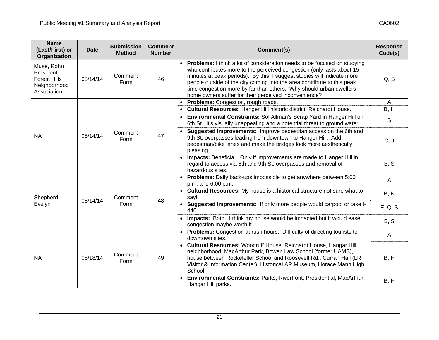| <b>Name</b><br>(Last/First) or<br>Organization                                | <b>Date</b> | <b>Submission</b><br><b>Method</b> | <b>Comment</b><br><b>Number</b> | Comment(s)                                                                                                                                                                                                                                                                                                                                                                                                                                    | <b>Response</b><br>Code(s) |
|-------------------------------------------------------------------------------|-------------|------------------------------------|---------------------------------|-----------------------------------------------------------------------------------------------------------------------------------------------------------------------------------------------------------------------------------------------------------------------------------------------------------------------------------------------------------------------------------------------------------------------------------------------|----------------------------|
| Muse, Rohn<br>President<br><b>Forest Hills</b><br>Neighborhood<br>Association | 08/14/14    | Comment<br>Form                    | 46                              | <b>Problems:</b> I think a lot of consideration needs to be focused on studying<br>who contributes more to the perceived congestion (only lasts about 15<br>minutes at peak periods). By this, I suggest studies will indicate more<br>people outside of the city coming into the area contribute to this peak<br>time congestion more by far than others. Why should urban dwellers<br>home owners suffer for their perceived inconvenience? | Q, S                       |
|                                                                               |             |                                    |                                 | Problems: Congestion, rough roads.                                                                                                                                                                                                                                                                                                                                                                                                            | $\overline{A}$             |
|                                                                               |             |                                    |                                 | Cultural Resources: Hanger Hill historic district, Reichardt House.                                                                                                                                                                                                                                                                                                                                                                           | B, H                       |
|                                                                               |             |                                    |                                 | Environmental Constraints: Sol Allman's Scrap Yard in Hanger Hill on<br>6th St. It's visually unappealing and a potential threat to ground water.                                                                                                                                                                                                                                                                                             | S                          |
| <b>NA</b>                                                                     | 08/14/14    | Comment<br>Form                    | 47                              | Suggested Improvements: Improve pedestrian access on the 6th and<br>9th St. overpasses leading from downtown to Hanger Hill. Add<br>pedestrian/bike lanes and make the bridges look more aesthetically<br>pleasing.                                                                                                                                                                                                                           | C, J                       |
|                                                                               |             |                                    |                                 | Impacts: Beneficial. Only if improvements are made to Hanger Hill in<br>$\bullet$<br>regard to access via 6th and 9th St. overpasses and removal of<br>hazardous sites.                                                                                                                                                                                                                                                                       | B, S                       |
|                                                                               |             | Comment<br>Form                    | 48                              | <b>Problems:</b> Daily back-ups impossible to get anywhere between 5:00<br>p.m. and 6:00 p.m.                                                                                                                                                                                                                                                                                                                                                 | $\mathsf{A}$               |
| Shepherd,                                                                     |             |                                    |                                 | • Cultural Resources: My house is a historical structure not sure what to<br>say!!                                                                                                                                                                                                                                                                                                                                                            | B, N                       |
| Evelyn                                                                        | 08/14/14    |                                    |                                 | Suggested Improvements: If only more people would carpool or take I-<br>440.                                                                                                                                                                                                                                                                                                                                                                  | E, Q, S                    |
|                                                                               |             |                                    |                                 | Impacts: Both. I think my house would be impacted but it would ease<br>congestion maybe worth it.                                                                                                                                                                                                                                                                                                                                             | B, S                       |
|                                                                               |             |                                    |                                 | Problems: Congestion at rush hours. Difficulty of directing tourists to<br>downtown sites.                                                                                                                                                                                                                                                                                                                                                    | A                          |
| <b>NA</b>                                                                     | 08/18/14    | Comment<br>Form                    | 49                              | Cultural Resources: Woodruff House, Reichardt House, Hangar Hill<br>neighborhood, MacArthur Park, Bowen Law School (former UAMS),<br>house between Rockefeller School and Roosevelt Rd., Curran Hall (LR<br>Visitor & Information Center), Historical AR Museum, Horace Mann High<br>School.                                                                                                                                                  | B, H                       |
|                                                                               |             |                                    |                                 | Environmental Constraints: Parks, Riverfront, Presidential, MacArthur,<br>Hangar Hill parks.                                                                                                                                                                                                                                                                                                                                                  | B, H                       |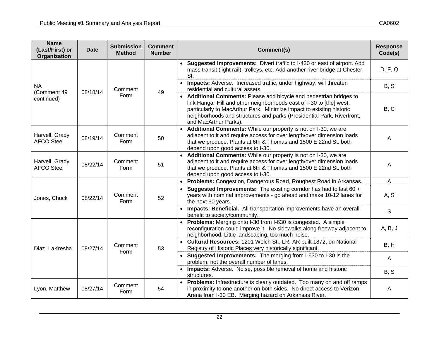| <b>Name</b><br>(Last/First) or<br>Organization | <b>Date</b> | <b>Submission</b><br><b>Method</b> | <b>Comment</b><br><b>Number</b> | Comment(s)                                                                                                                                                                                                                                                                                                             | <b>Response</b><br>Code(s) |
|------------------------------------------------|-------------|------------------------------------|---------------------------------|------------------------------------------------------------------------------------------------------------------------------------------------------------------------------------------------------------------------------------------------------------------------------------------------------------------------|----------------------------|
|                                                |             |                                    |                                 | Suggested Improvements: Divert traffic to I-430 or east of airport. Add<br>mass transit (light rail), trolleys, etc. Add another river bridge at Chester<br>St.                                                                                                                                                        | D, F, Q                    |
| <b>NA</b><br>(Comment 49                       | 08/18/14    | Comment                            | 49                              | • Impacts: Adverse. Increased traffic, under highway, will threaten<br>residential and cultural assets.                                                                                                                                                                                                                | B, S                       |
| continued)                                     |             | Form                               |                                 | • Additional Comments: Please add bicycle and pedestrian bridges to<br>link Hangar Hill and other neighborhoods east of I-30 to [the] west,<br>particularly to MacArthur Park. Minimize impact to existing historic<br>neighborhoods and structures and parks (Presidential Park, Riverfront,<br>and MacArthur Parks). | B, C                       |
| Harvell, Grady<br><b>AFCO Steel</b>            | 08/19/14    | Comment<br>Form                    | 50                              | Additional Comments: While our property is not on I-30, we are<br>adjacent to it and require access for over length/over dimension loads<br>that we produce. Plants at 6th & Thomas and 1500 E 22nd St. both<br>depend upon good access to I-30.                                                                       | A                          |
| Harvell, Grady<br><b>AFCO Steel</b>            | 08/22/14    | Comment<br>Form                    | 51                              | • Additional Comments: While our property is not on I-30, we are<br>adjacent to it and require access for over length/over dimension loads<br>that we produce. Plants at 6th & Thomas and 1500 E 22nd St. both<br>depend upon good access to I-30.                                                                     | A                          |
|                                                |             |                                    |                                 | Problems: Congestion, Dangerous Road, Roughest Road in Arkansas.                                                                                                                                                                                                                                                       | $\overline{A}$             |
| Jones, Chuck                                   | 08/22/14    | Comment<br>Form                    | 52                              | Suggested Improvements: The existing corridor has had to last 60 +<br>years with nominal improvements - go ahead and make 10-12 lanes for<br>the next 60 years.                                                                                                                                                        | A, S                       |
|                                                |             |                                    |                                 | Impacts: Beneficial. All transportation improvements have an overall<br>benefit to society/community.                                                                                                                                                                                                                  | S                          |
|                                                |             |                                    |                                 | Problems: Merging onto I-30 from I-630 is congested. A simple<br>reconfiguration could improve it. No sidewalks along freeway adjacent to<br>neighborhood. Little landscaping, too much noise.                                                                                                                         | A, B, J                    |
| Diaz, LaKresha                                 | 08/27/14    | Comment<br>Form                    | 53                              | • Cultural Resources: 1201 Welch St., LR, AR built 1872, on National<br>Registry of Historic Places very historically significant.                                                                                                                                                                                     | B, H                       |
|                                                |             |                                    |                                 | • Suggested Improvements: The merging from I-630 to I-30 is the<br>problem, not the overall number of lanes.                                                                                                                                                                                                           | A                          |
|                                                |             |                                    |                                 | • Impacts: Adverse. Noise, possible removal of home and historic<br>structures.                                                                                                                                                                                                                                        | B, S                       |
| Lyon, Matthew                                  | 08/27/14    | Comment<br>Form                    | 54                              | • Problems: Infrastructure is clearly outdated. Too many on and off ramps<br>in proximity to one another on both sides. No direct access to Verizon<br>Arena from I-30 EB. Merging hazard on Arkansas River.                                                                                                           | A                          |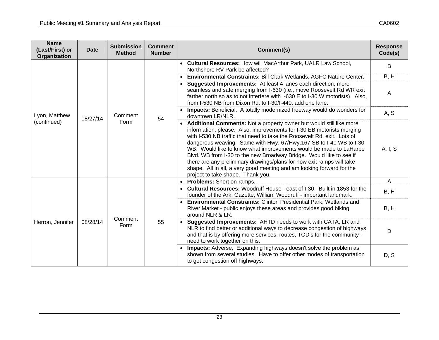| <b>Name</b><br>(Last/First) or<br>Organization | <b>Date</b> | <b>Submission</b><br><b>Method</b> | <b>Comment</b><br><b>Number</b> | Comment(s)                                                                                                                                                                                                                                                                                                                                                                                                                                                                                                                                                                                                                         | <b>Response</b><br>Code(s) |
|------------------------------------------------|-------------|------------------------------------|---------------------------------|------------------------------------------------------------------------------------------------------------------------------------------------------------------------------------------------------------------------------------------------------------------------------------------------------------------------------------------------------------------------------------------------------------------------------------------------------------------------------------------------------------------------------------------------------------------------------------------------------------------------------------|----------------------------|
|                                                |             |                                    |                                 | • Cultural Resources: How will MacArthur Park, UALR Law School,<br>Northshore RV Park be affected?                                                                                                                                                                                                                                                                                                                                                                                                                                                                                                                                 | B                          |
|                                                |             |                                    |                                 | <b>Environmental Constraints: Bill Clark Wetlands, AGFC Nature Center.</b>                                                                                                                                                                                                                                                                                                                                                                                                                                                                                                                                                         | B, H                       |
|                                                |             |                                    |                                 | Suggested Improvements: At least 4 lanes each direction, more<br>$\bullet$<br>seamless and safe merging from I-630 (i.e., move Roosevelt Rd WR exit<br>farther north so as to not interfere with I-630 E to I-30 W motorists). Also,<br>from I-530 NB from Dixon Rd. to I-30/I-440, add one lane.                                                                                                                                                                                                                                                                                                                                  | A                          |
| Lyon, Matthew                                  | 08/27/14    | Comment                            | 54                              | <b>Impacts:</b> Beneficial. A totally modernized freeway would do wonders for<br>downtown LR/NLR.                                                                                                                                                                                                                                                                                                                                                                                                                                                                                                                                  | A, S                       |
| (continued)                                    |             | Form                               |                                 | • Additional Comments: Not a property owner but would still like more<br>information, please. Also, improvements for I-30 EB motorists merging<br>with I-530 NB traffic that need to take the Roosevelt Rd. exit. Lots of<br>dangerous weaving. Same with Hwy. 67/Hwy.167 SB to I-40 WB to I-30<br>WB. Would like to know what improvements would be made to LaHarpe<br>Blvd. WB from I-30 to the new Broadway Bridge. Would like to see if<br>there are any preliminary drawings/plans for how exit ramps will take<br>shape. All in all, a very good meeting and am looking forward for the<br>project to take shape. Thank you. | A, I, S                    |
|                                                |             |                                    |                                 | • Problems: Short on-ramps.                                                                                                                                                                                                                                                                                                                                                                                                                                                                                                                                                                                                        | A                          |
|                                                | 08/28/14    | Comment<br>Form                    | 55                              | <b>Cultural Resources:</b> Woodruff House - east of I-30. Built in 1853 for the<br>founder of the Ark. Gazette, William Woodruff - important landmark.                                                                                                                                                                                                                                                                                                                                                                                                                                                                             | B, H                       |
| Herron, Jennifer                               |             |                                    |                                 | <b>Environmental Constraints: Clinton Presidential Park, Wetlands and</b><br>River Market - public enjoys these areas and provides good biking<br>around NLR & LR.                                                                                                                                                                                                                                                                                                                                                                                                                                                                 | B, H                       |
|                                                |             |                                    |                                 | <b>Suggested Improvements: AHTD needs to work with CATA, LR and</b><br>NLR to find better or additional ways to decrease congestion of highways<br>and that is by offering more services, routes, TOD's for the community -<br>need to work together on this.                                                                                                                                                                                                                                                                                                                                                                      | D                          |
|                                                |             |                                    |                                 | <b>Impacts:</b> Adverse. Expanding highways doesn't solve the problem as<br>shown from several studies. Have to offer other modes of transportation<br>to get congestion off highways.                                                                                                                                                                                                                                                                                                                                                                                                                                             | D, S                       |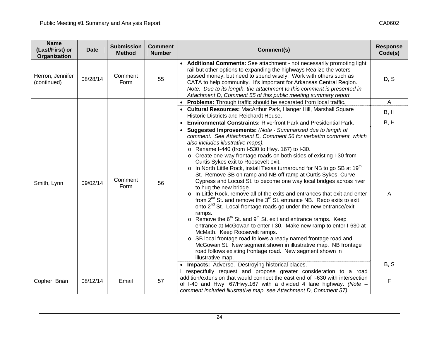| <b>Name</b><br>(Last/First) or<br>Organization | <b>Date</b> | <b>Submission</b><br><b>Method</b> | <b>Comment</b><br><b>Number</b> | Comment(s)                                                                                                                                                                                                                                                                                                                                                                                                                                                                                                                                                                                                                                                                                                                                                                                                                                                                                                                                                                                                                                                                                                                                                                                                                                                                                                                                                                                                                                                                              | <b>Response</b><br>Code(s) |
|------------------------------------------------|-------------|------------------------------------|---------------------------------|-----------------------------------------------------------------------------------------------------------------------------------------------------------------------------------------------------------------------------------------------------------------------------------------------------------------------------------------------------------------------------------------------------------------------------------------------------------------------------------------------------------------------------------------------------------------------------------------------------------------------------------------------------------------------------------------------------------------------------------------------------------------------------------------------------------------------------------------------------------------------------------------------------------------------------------------------------------------------------------------------------------------------------------------------------------------------------------------------------------------------------------------------------------------------------------------------------------------------------------------------------------------------------------------------------------------------------------------------------------------------------------------------------------------------------------------------------------------------------------------|----------------------------|
| Herron, Jennifer<br>(continued)                | 08/28/14    | Comment<br>Form                    | 55                              | • Additional Comments: See attachment - not necessarily promoting light<br>rail but other options to expanding the highways Realize the voters<br>passed money, but need to spend wisely. Work with others such as<br>CATA to help community. It's important for Arkansas Central Region.<br>Note: Due to its length, the attachment to this comment is presented in<br>Attachment D, Comment 55 of this public meeting summary report.                                                                                                                                                                                                                                                                                                                                                                                                                                                                                                                                                                                                                                                                                                                                                                                                                                                                                                                                                                                                                                                 | D, S                       |
|                                                |             |                                    |                                 | Problems: Through traffic should be separated from local traffic.                                                                                                                                                                                                                                                                                                                                                                                                                                                                                                                                                                                                                                                                                                                                                                                                                                                                                                                                                                                                                                                                                                                                                                                                                                                                                                                                                                                                                       | $\mathsf{A}$               |
|                                                |             |                                    |                                 | • Cultural Resources: MacArthur Park, Hanger Hill, Marshall Square<br>Historic Districts and Reichardt House.                                                                                                                                                                                                                                                                                                                                                                                                                                                                                                                                                                                                                                                                                                                                                                                                                                                                                                                                                                                                                                                                                                                                                                                                                                                                                                                                                                           | B, H                       |
| Smith, Lynn                                    | 09/02/14    | Comment<br>Form                    | 56                              | <b>Environmental Constraints: Riverfront Park and Presidential Park.</b><br>$\bullet$<br>Suggested Improvements: (Note - Summarized due to length of<br>$\bullet$<br>comment. See Attachment D, Comment 56 for verbatim comment, which<br>also includes illustrative maps).<br>o Rename I-440 (from I-530 to Hwy. 167) to I-30.<br>Create one-way frontage roads on both sides of existing I-30 from<br>Curtis Sykes exit to Roosevelt exit.<br>$\circ$ In North Little Rock, install Texas turnaround for NB to go SB at 19 <sup>th</sup><br>St. Remove SB on ramp and NB off ramp at Curtis Sykes. Curve<br>Cypress and Locust St. to become one way local bridges across river<br>to hug the new bridge.<br>In Little Rock, remove all of the exits and entrances that exit and enter<br>$\circ$<br>from 2 <sup>nd</sup> St. and remove the 3 <sup>rd</sup> St. entrance NB. Redo exits to exit<br>onto 2 <sup>nd</sup> St. Local frontage roads go under the new entrance/exit<br>ramps.<br>$\circ$ Remove the 6 <sup>th</sup> St. and 9 <sup>th</sup> St. exit and entrance ramps. Keep<br>entrance at McGowan to enter I-30. Make new ramp to enter I-630 at<br>McMath. Keep Roosevelt ramps.<br>SB local frontage road follows already named frontage road and<br>$\circ$<br>McGowan St. New segment shown in illustrative map. NB frontage<br>road follows existing frontage road. New segment shown in<br>illustrative map.<br>Impacts: Adverse. Destroying historical places. | B, H<br>A<br>B, S          |
|                                                |             |                                    |                                 | respectfully request and propose greater consideration to a road                                                                                                                                                                                                                                                                                                                                                                                                                                                                                                                                                                                                                                                                                                                                                                                                                                                                                                                                                                                                                                                                                                                                                                                                                                                                                                                                                                                                                        |                            |
| Copher, Brian                                  | 08/12/14    | Email                              | 57                              | addition/extension that would connect the east end of I-630 with intersection<br>of I-40 and Hwy. $67$ /Hwy.167 with a divided 4 lane highway. (Note $-$<br>comment included illustrative map, see Attachment D, Comment 57).                                                                                                                                                                                                                                                                                                                                                                                                                                                                                                                                                                                                                                                                                                                                                                                                                                                                                                                                                                                                                                                                                                                                                                                                                                                           | $\mathsf F$                |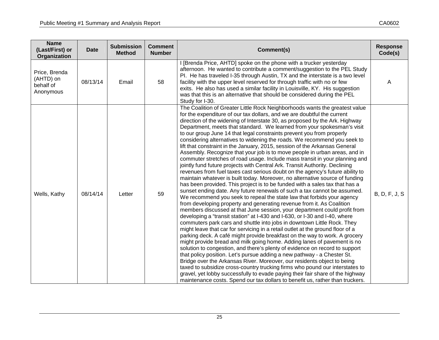| <b>Name</b><br>(Last/First) or<br>Organization       | <b>Date</b> | <b>Submission</b><br><b>Method</b> | <b>Comment</b><br><b>Number</b> | Comment(s)                                                                                                                                                                                                                                                                                                                                                                                                                                                                                                                                                                                                                                                                                                                                                                                                                                                                                                                                                                                                                                                                                                                                                                                                                                                                                                                                                                                                                                                                                                                                                                                                                                                                                                                                                                                                                                                                                                                                                                                                                                                                                                                                                                                                                                              | <b>Response</b><br>Code(s) |
|------------------------------------------------------|-------------|------------------------------------|---------------------------------|---------------------------------------------------------------------------------------------------------------------------------------------------------------------------------------------------------------------------------------------------------------------------------------------------------------------------------------------------------------------------------------------------------------------------------------------------------------------------------------------------------------------------------------------------------------------------------------------------------------------------------------------------------------------------------------------------------------------------------------------------------------------------------------------------------------------------------------------------------------------------------------------------------------------------------------------------------------------------------------------------------------------------------------------------------------------------------------------------------------------------------------------------------------------------------------------------------------------------------------------------------------------------------------------------------------------------------------------------------------------------------------------------------------------------------------------------------------------------------------------------------------------------------------------------------------------------------------------------------------------------------------------------------------------------------------------------------------------------------------------------------------------------------------------------------------------------------------------------------------------------------------------------------------------------------------------------------------------------------------------------------------------------------------------------------------------------------------------------------------------------------------------------------------------------------------------------------------------------------------------------------|----------------------------|
| Price, Brenda<br>(AHTD) on<br>behalf of<br>Anonymous | 08/13/14    | Email                              | 58                              | I [Brenda Price, AHTD] spoke on the phone with a trucker yesterday<br>afternoon. He wanted to contribute a comment/suggestion to the PEL Study<br>PI. He has traveled I-35 through Austin, TX and the interstate is a two level<br>facility with the upper level reserved for through traffic with no or few<br>exits. He also has used a similar facility in Louisville, KY. His suggestion<br>was that this is an alternative that should be considered during the PEL<br>Study for I-30.                                                                                                                                                                                                                                                                                                                                                                                                                                                                                                                                                                                                                                                                                                                                                                                                                                                                                                                                                                                                                                                                                                                                                                                                                                                                                                                                                                                                                                                                                                                                                                                                                                                                                                                                                             | A                          |
| Wells, Kathy                                         | 08/14/14    | Letter                             | 59                              | The Coalition of Greater Little Rock Neighborhoods wants the greatest value<br>for the expenditure of our tax dollars, and we are doubtful the current<br>direction of the widening of Interstate 30, as proposed by the Ark. Highway<br>Department, meets that standard. We learned from your spokesman's visit<br>to our group June 14 that legal constraints prevent you from properly<br>considering alternatives to widening the roads. We recommend you seek to<br>lift that constraint in the January, 2015, session of the Arkansas General<br>Assembly. Recognize that your job is to move people in urban areas, and in<br>commuter stretches of road usage. Include mass transit in your planning and<br>jointly fund future projects with Central Ark. Transit Authority. Declining<br>revenues from fuel taxes cast serious doubt on the agency's future ability to<br>maintain whatever is built today. Moreover, no alternative source of funding<br>has been provided. This project is to be funded with a sales tax that has a<br>sunset ending date. Any future renewals of such a tax cannot be assumed.<br>We recommend you seek to repeal the state law that forbids your agency<br>from developing property and generating revenue from it. As Coalition<br>members discussed at that June session, your department could profit from<br>developing a "transit station" at I-430 and I-630, or I-30 and I-40, where<br>commuters park cars and shuttle into jobs in downtown Little Rock. They<br>might leave that car for servicing in a retail outlet at the ground floor of a<br>parking deck. A café might provide breakfast on the way to work. A grocery<br>might provide bread and milk going home. Adding lanes of pavement is no<br>solution to congestion, and there's plenty of evidence on record to support<br>that policy position. Let's pursue adding a new pathway - a Chester St.<br>Bridge over the Arkansas River. Moreover, our residents object to being<br>taxed to subsidize cross-country trucking firms who pound our interstates to<br>gravel, yet lobby successfully to evade paying their fair share of the highway<br>maintenance costs. Spend our tax dollars to benefit us, rather than truckers. | <b>B, D, F, J, S</b>       |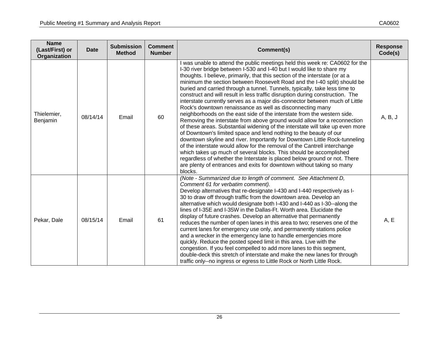| <b>Name</b><br>(Last/First) or<br>Organization | <b>Date</b> | <b>Submission</b><br><b>Method</b> | <b>Comment</b><br><b>Number</b> | Comment(s)                                                                                                                                                                                                                                                                                                                                                                                                                                                                                                                                                                                                                                                                                                                                                                                                                                                                                                                                                                                                                                                                                                                                                                                                                                                                                                                                  | <b>Response</b><br>Code(s) |
|------------------------------------------------|-------------|------------------------------------|---------------------------------|---------------------------------------------------------------------------------------------------------------------------------------------------------------------------------------------------------------------------------------------------------------------------------------------------------------------------------------------------------------------------------------------------------------------------------------------------------------------------------------------------------------------------------------------------------------------------------------------------------------------------------------------------------------------------------------------------------------------------------------------------------------------------------------------------------------------------------------------------------------------------------------------------------------------------------------------------------------------------------------------------------------------------------------------------------------------------------------------------------------------------------------------------------------------------------------------------------------------------------------------------------------------------------------------------------------------------------------------|----------------------------|
| Thielemier,<br>Benjamin                        | 08/14/14    | Email                              | 60                              | I was unable to attend the public meetings held this week re: CA0602 for the<br>I-30 river bridge between I-530 and I-40 but I would like to share my<br>thoughts. I believe, primarily, that this section of the interstate (or at a<br>minimum the section between Roosevelt Road and the I-40 split) should be<br>buried and carried through a tunnel. Tunnels, typically, take less time to<br>construct and will result in less traffic disruption during construction. The<br>interstate currently serves as a major dis-connector between much of Little<br>Rock's downtown renaissance as well as disconnecting many<br>neighborhoods on the east side of the interstate from the western side.<br>Removing the interstate from above ground would allow for a reconnection<br>of these areas. Substantial widening of the interstate will take up even more<br>of Downtown's limited space and lend nothing to the beauty of our<br>downtown skyline and river. Importantly for Downtown Little Rock-tunneling<br>of the interstate would allow for the removal of the Cantrell interchange<br>which takes up much of several blocks. This should be accomplished<br>regardless of whether the Interstate is placed below ground or not. There<br>are plenty of entrances and exits for downtown without taking so many<br>blocks. |                            |
| Pekar, Dale                                    | 08/15/14    | Email                              | 61                              | (Note - Summarized due to length of comment. See Attachment D,<br>Comment 61 for verbatim comment).<br>Develop alternatives that re-designate I-430 and I-440 respectively as I-<br>30 to draw off through traffic from the downtown area. Develop an<br>alternative which would designate both I-430 and I-440 as I-30--along the<br>lines of I-35E and I-35W in the Dallas-Ft. Worth area. Elucidate the<br>display of future crashes. Develop an alternative that permanently<br>reduces the number of open lanes in this area to two; reserves one of the<br>current lanes for emergency use only, and permanently stations police<br>and a wrecker in the emergency lane to handle emergencies more<br>quickly. Reduce the posted speed limit in this area. Live with the<br>congestion. If you feel compelled to add more lanes to this segment,<br>double-deck this stretch of interstate and make the new lanes for through<br>traffic only--no ingress or egress to Little Rock or North Little Rock.                                                                                                                                                                                                                                                                                                                              | A, E                       |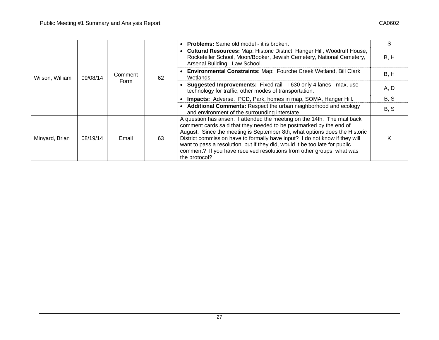|                 |          | Comment<br>Form | 62 | <b>Problems:</b> Same old model - it is broken.                                                                                                                                                                                                                                                                                                                                                                                                                                      | S    |
|-----------------|----------|-----------------|----|--------------------------------------------------------------------------------------------------------------------------------------------------------------------------------------------------------------------------------------------------------------------------------------------------------------------------------------------------------------------------------------------------------------------------------------------------------------------------------------|------|
| Wilson, William |          |                 |    | <b>Cultural Resources: Map: Historic District, Hanger Hill, Woodruff House,</b><br>Rockefeller School, Moon/Booker, Jewish Cemetery, National Cemetery,<br>Arsenal Building, Law School.                                                                                                                                                                                                                                                                                             | B, H |
|                 | 09/08/14 |                 |    | Environmental Constraints: Map: Fourche Creek Wetland, Bill Clark<br>Wetlands.                                                                                                                                                                                                                                                                                                                                                                                                       | B, H |
|                 |          |                 |    | Suggested Improvements: Fixed rail - I-630 only 4 lanes - max, use<br>technology for traffic, other modes of transportation.                                                                                                                                                                                                                                                                                                                                                         | A, D |
|                 |          |                 |    | Impacts: Adverse. PCD, Park, homes in map, SOMA, Hanger Hill.                                                                                                                                                                                                                                                                                                                                                                                                                        | B, S |
|                 |          |                 |    | • Additional Comments: Respect the urban neighborhood and ecology<br>and environment of the surrounding interstate.                                                                                                                                                                                                                                                                                                                                                                  | B, S |
| Minyard, Brian  | 08/19/14 | Email           | 63 | A question has arisen. I attended the meeting on the 14th. The mail back<br>comment cards said that they needed to be postmarked by the end of<br>August. Since the meeting is September 8th, what options does the Historic<br>District commission have to formally have input? I do not know if they will<br>want to pass a resolution, but if they did, would it be too late for public<br>comment? If you have received resolutions from other groups, what was<br>the protocol? | K    |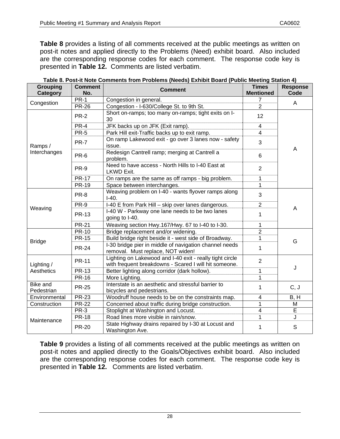**Table 8** provides a listing of all comments received at the public meetings as written on post-it notes and applied directly to the Problems (Need) exhibit board. Also included are the corresponding response codes for each comment. The response code key is presented in **Table 12.** Comments are listed verbatim.

| <b>Grouping</b><br>Category | <b>Comment</b><br>No. | <b>Comment</b>                                                                                                    | <b>Times</b><br><b>Mentioned</b> | <b>Response</b><br>Code |  |
|-----------------------------|-----------------------|-------------------------------------------------------------------------------------------------------------------|----------------------------------|-------------------------|--|
| Congestion                  | $PR-1$                | Congestion in general.                                                                                            | 7                                | A                       |  |
|                             | <b>PR-26</b>          | Congestion - I-630/College St. to 9th St.                                                                         | $\overline{2}$                   |                         |  |
|                             | <b>PR-2</b>           | Short on-ramps; too many on-ramps; tight exits on I-<br>30                                                        | 12                               |                         |  |
|                             | PR-4                  | JFK backs up on JFK (Exit ramp).                                                                                  | 4                                |                         |  |
|                             | <b>PR-5</b>           | Park Hill exit-Traffic backs up to exit ramp.                                                                     | $\overline{4}$                   |                         |  |
| Ramps /                     | <b>PR-7</b>           | On ramp Lakewood exit - go over 3 lanes now - safety<br>issue.                                                    | 3                                | A                       |  |
| Interchanges                | PR-6                  | Redesign Cantrell ramp; merging at Cantrell a<br>problem.                                                         | 6                                |                         |  |
|                             | PR-9                  | Need to have access - North Hills to I-40 East at<br>LKWD Exit.                                                   | $\overline{2}$                   |                         |  |
|                             | <b>PR-17</b>          | On ramps are the same as off ramps - big problem.                                                                 | 1                                |                         |  |
|                             | <b>PR-19</b>          | Space between interchanges.                                                                                       | 1                                |                         |  |
|                             | PR-8                  | Weaving problem on I-40 - wants flyover ramps along<br>$I-40.$                                                    | 3                                |                         |  |
|                             | PR-9                  | I-40 E from Park Hill - skip over lanes dangerous.                                                                | $\overline{2}$                   |                         |  |
| Weaving                     | <b>PR-13</b>          | I-40 W - Parkway one lane needs to be two lanes<br>going to I-40.                                                 | 1                                | A                       |  |
|                             | <b>PR-21</b>          | Weaving section Hwy.167/Hwy. 67 to I-40 to I-30.                                                                  | 1                                |                         |  |
|                             | <b>PR-10</b>          | Bridge replacement and/or widening.                                                                               | $\overline{2}$                   |                         |  |
|                             | <b>PR-15</b>          | Build bridge right beside it - west side of Broadway.                                                             | 1                                | G                       |  |
| <b>Bridge</b>               | <b>PR-24</b>          | I-30 bridge pier in middle of navigation channel needs<br>removal. Must replace, NOT widen!                       | 1                                |                         |  |
| Lighting /                  | <b>PR-11</b>          | Lighting on Lakewood and I-40 exit - really tight circle<br>with frequent breakdowns - Scared I will hit someone. | $\overline{2}$                   |                         |  |
| Aesthetics                  | <b>PR-13</b>          | Better lighting along corridor (dark hollow).                                                                     | 1                                | J                       |  |
|                             | <b>PR-16</b>          | More Lighting.                                                                                                    | 1                                |                         |  |
| Bike and<br>Pedestrian      | <b>PR-25</b>          | Interstate is an aesthetic and stressful barrier to<br>bicycles and pedestrians.                                  | 1                                | C, J                    |  |
| Environmental               | <b>PR-23</b>          | Woodruff house needs to be on the constraints map.                                                                | $\overline{\mathbf{4}}$          | B, H                    |  |
| Construction                | <b>PR-22</b>          | Concerned about traffic during bridge construction.                                                               | 1                                | M                       |  |
|                             | <b>PR-3</b>           | Stoplight at Washington and Locust.                                                                               | $\overline{4}$                   | E                       |  |
|                             | <b>PR-18</b>          | Road lines more visible in rain/snow.                                                                             | 1                                | J                       |  |
| Maintenance                 | <b>PR-20</b>          | State Highway drains repaired by I-30 at Locust and<br>Washington Ave.                                            | 1                                | S                       |  |

| Table 8. Post-it Note Comments from Problems (Needs) Exhibit Board (Public Meeting Station 4) |  |
|-----------------------------------------------------------------------------------------------|--|
|                                                                                               |  |

**Table 9** provides a listing of all comments received at the public meetings as written on post-it notes and applied directly to the Goals/Objectives exhibit board. Also included are the corresponding response codes for each comment. The response code key is presented in **Table 12.** Comments are listed verbatim.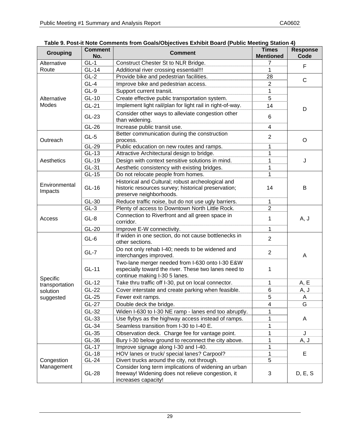| <b>Grouping</b>          | <b>Comment</b><br>No. | <b>Comment</b>                                                                                                                           | <b>Times</b><br><b>Mentioned</b> | <b>Response</b><br>Code |  |
|--------------------------|-----------------------|------------------------------------------------------------------------------------------------------------------------------------------|----------------------------------|-------------------------|--|
| Alternative              | $GL-1$                | Construct Chester St to NLR Bridge.                                                                                                      |                                  |                         |  |
| Route                    | <b>GL-14</b>          | Additional river crossing essential!!!                                                                                                   | 1                                | F                       |  |
|                          | $\overline{GL-2}$     | Provide bike and pedestrian facilities.<br>28                                                                                            |                                  | C                       |  |
|                          | $GL-4$                | Improve bike and pedestrian access.                                                                                                      | $\overline{2}$                   |                         |  |
|                          | $GL-9$                | Support current transit.                                                                                                                 | 1                                |                         |  |
| Alternative              | GL-10                 | Create effective public transportation system.                                                                                           | 5                                |                         |  |
| Modes                    | GL-21                 | Implement light rail/plan for light rail in right-of-way.                                                                                | 14                               | D                       |  |
|                          | GL-23                 | Consider other ways to alleviate congestion other<br>than widening.                                                                      | 6                                |                         |  |
|                          | GL-26                 | Increase public transit use.                                                                                                             | 4                                |                         |  |
| Outreach                 | $GL-5$                | Better communication during the construction<br>process.                                                                                 | $\overline{2}$                   | O                       |  |
|                          | GL-29                 | Public education on new routes and ramps.                                                                                                | 1                                |                         |  |
|                          | GL-13                 | Attractive Architectural design to bridge.                                                                                               | 1                                |                         |  |
| Aesthetics               | GL-19                 | Design with context sensitive solutions in mind.                                                                                         | 1                                | J                       |  |
|                          | GL-31                 | Aesthetic consistency with existing bridges.                                                                                             | 1                                |                         |  |
|                          | GL-15                 | Do not relocate people from homes.                                                                                                       | 1                                |                         |  |
|                          |                       | Historical and Cultural; robust archeological and                                                                                        |                                  |                         |  |
| Environmental<br>Impacts | GL-16                 | historic resources survey; historical preservation;<br>preserve neighborhoods.                                                           | 14                               | B                       |  |
|                          | GL-30                 | Reduce traffic noise, but do not use ugly barriers.                                                                                      | 1                                |                         |  |
|                          | $GL-3$                | Plenty of access to Downtown North Little Rock.                                                                                          | $\overline{2}$                   |                         |  |
| Access                   | $GL-8$                | Connection to Riverfront and all green space in<br>1<br>corridor.                                                                        |                                  | A, J                    |  |
|                          | GL-20                 | Improve E-W connectivity.                                                                                                                | 1                                |                         |  |
|                          | $GL-6$                | If widen in one section, do not cause bottlenecks in<br>other sections.                                                                  | $\overline{2}$                   | A                       |  |
|                          | $GL-7$                | Do not only rehab I-40; needs to be widened and<br>interchanges improved.                                                                | $\overline{2}$                   |                         |  |
| Specific                 | GL-11                 | Two-lane merger needed from I-630 onto I-30 E&W<br>especially toward the river. These two lanes need to<br>continue making I-30 5 lanes. | 1                                |                         |  |
| transportation           | GL-12                 | Take thru traffic off I-30, put on local connector.                                                                                      | 1                                | A, E                    |  |
| solution                 | GL-22                 | Cover interstate and create parking when feasible.                                                                                       | 6                                | A, J                    |  |
| suggested                | GL-25                 | Fewer exit ramps.                                                                                                                        | 5                                | A                       |  |
|                          | GL-27                 | Double deck the bridge.                                                                                                                  | 4                                | G                       |  |
|                          | GL-32                 | Widen I-630 to I-30 NE ramp - lanes end too abruptly.                                                                                    | 1                                |                         |  |
|                          | $GL-33$               | Use flybys as the highway access instead of ramps.                                                                                       | 1                                | A                       |  |
|                          | GL-34                 | Seamless transition from I-30 to I-40 E.                                                                                                 | 1                                |                         |  |
|                          | GL-35                 | Observation deck. Charge fee for vantage point.                                                                                          | 1                                | J                       |  |
|                          | GL-36                 | Bury I-30 below ground to reconnect the city above.                                                                                      | 1                                | A, J                    |  |
|                          | GL-17                 | Improve signage along I-30 and I-40.                                                                                                     | 1                                |                         |  |
|                          | $GL-18$               | HOV lanes or truck/ special lanes? Carpool?                                                                                              | 1                                | Е                       |  |
| Congestion               | $GL-24$               | Divert trucks around the city, not through.                                                                                              | 5                                |                         |  |
| Management               | $GL-28$               | Consider long term implications of widening an urban<br>freeway! Widening does not relieve congestion, it<br>increases capacity!         | 3                                | D, E, S                 |  |

### **Table 9. Post-it Note Comments from Goals/Objectives Exhibit Board (Public Meeting Station 4)**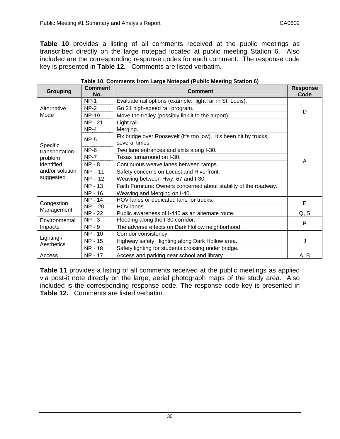**Table 10** provides a listing of all comments received at the public meetings as transcribed directly on the large notepad located at public meeting Station 6. Also included are the corresponding response codes for each comment. The response code key is presented in **Table 12.** Comments are listed verbatim.

| <b>Grouping</b>          | <b>Comment</b><br>No.                             | <b>Comment</b>                                                                      | <b>Response</b><br>Code |  |  |
|--------------------------|---------------------------------------------------|-------------------------------------------------------------------------------------|-------------------------|--|--|
|                          | $NP-1$                                            | Evaluate rail options (example: light rail in St. Louis).                           |                         |  |  |
| Alternative              | $NP-2$                                            | Go 21 high-speed rail program.                                                      | D                       |  |  |
| Mode                     | <b>NP-19</b>                                      | Move the trolley (possibly link it to the airport).                                 |                         |  |  |
|                          | <b>NP - 21</b>                                    | Light rail.                                                                         |                         |  |  |
|                          | $NP-4$                                            | Merging.                                                                            |                         |  |  |
| Specific                 | <b>NP-5</b>                                       | Fix bridge over Roosevelt (it's too low). It's been hit by trucks<br>several times. |                         |  |  |
| transportation           | $NP-6$                                            | Two lane entrances and exits along I-30.                                            | A                       |  |  |
| problem                  | $NP-7$                                            | Texas turnaround on I-30.                                                           |                         |  |  |
| identified               | $NP - 8$<br>Continuous weave lanes between ramps. |                                                                                     |                         |  |  |
| and/or solution          | $NP - 11$                                         | Safety concerns on Locust and Riverfront.                                           |                         |  |  |
| suggested                | $NP - 12$                                         | Weaving between Hwy. 67 and I-30.                                                   |                         |  |  |
|                          | NP - 13                                           | Faith Furniture: Owners concerned about stability of the roadway.                   |                         |  |  |
|                          | NP - 16                                           | Weaving and Merging on I-40.                                                        |                         |  |  |
| Congestion               | NP - 14                                           | HOV lanes or dedicated lane for trucks.<br>$NP - 20$<br>HOV lanes.                  |                         |  |  |
| Management               |                                                   |                                                                                     |                         |  |  |
|                          | <b>NP - 22</b>                                    | Public awareness of I-440 as an alternate route.                                    | Q, S                    |  |  |
| Environmental            | $NP - 3$                                          | Flooding along the I-30 corridor.                                                   | B                       |  |  |
| Impacts                  | $NP - 9$                                          | The adverse effects on Dark Hollow neighborhood.                                    |                         |  |  |
|                          | NP - 10                                           | Corridor consistency.                                                               |                         |  |  |
| Lighting /<br>Aesthetics | NP - 15                                           | Highway safety: lighting along Dark Hollow area.                                    | J                       |  |  |
|                          | <b>NP - 18</b>                                    | Safety lighting for students crossing under bridge.                                 |                         |  |  |
| Access                   | NP - 17                                           | Access and parking near school and library.                                         | A, B                    |  |  |

#### **Table 10. Comments from Large Notepad (Public Meeting Station 6)**

**Table 11** provides a listing of all comments received at the public meetings as applied via post-it note directly on the large, aerial photograph maps of the study area. Also included is the corresponding response code. The response code key is presented in **Table 12.** Comments are listed verbatim.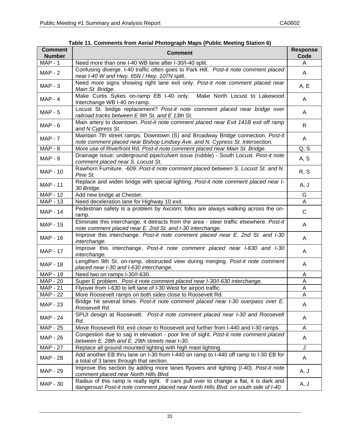| <b>Comment</b><br><b>Number</b> | <b>Comment</b>                                                                                                                                                                  | <b>Response</b><br>Code |
|---------------------------------|---------------------------------------------------------------------------------------------------------------------------------------------------------------------------------|-------------------------|
| <b>MAP - 1</b>                  | Need more than one I-40 WB lane after I-30/I-40 split.                                                                                                                          | A                       |
| $MAP - 2$                       | Confusing diverge. I-40 traffic often goes to Park Hill. Post-it note comment placed<br>near I-40 W and Hwy. 65N / Hwy. 107N split.                                             | A                       |
| $MAP - 3$                       | Need more signs showing right lane exit only. Post-it note comment placed near<br>Main St. Bridge.                                                                              | A, E                    |
| $MAP - 4$                       | Make Curtis Sykes on-ramp EB I-40 only. Make North Locust to Lakewood<br>Interchange WB I-40 on-ramp.                                                                           | A                       |
| $MAP - 5$                       | Locust St. bridge replacement? Post-it note comment placed near bridge over<br>railroad tracks between E 9th St. and E 13th St.                                                 | A                       |
| $MAP - 6$                       | Main artery to downtown. Post-it note comment placed near Exit 141B exit off ramp<br>and N Cypress St.                                                                          | R                       |
| $MAP - 7$                       | Maintain 7th street ramps. Downtown (S) and Broadway Bridge connection. Post-it<br>note comment placed near Bishop Lindsey Ave. and N. Cypress St. intersection.                | A                       |
| $MAP - 8$                       | More use of Riverfront Rd. Post-it note comment placed near Main St. Bridge.                                                                                                    | Q, S                    |
| $MAP - 9$                       | Drainage issue; underground pipe/culvert issue (rubble) - South Locust. Post-it note<br>comment placed near S. Locust St.                                                       | A, S                    |
| <b>MAP - 10</b>                 | Rawhorn Furniture. -609. Post-it note comment placed between S. Locust St. and N.<br>Pine St.                                                                                   | R, S                    |
| <b>MAP - 11</b>                 | Replace and widen bridge with special lighting. Post-it note comment placed near I-<br>30 Bridge.                                                                               | A, J                    |
| <b>MAP - 12</b>                 | Add new bridge at Chester.                                                                                                                                                      | G                       |
| MAP - 13                        | Need deceleration lane for Highway 10 exit.                                                                                                                                     | A                       |
| <b>MAP - 14</b>                 | Pedestrian safety is a problem by Axciom; folks are always walking across the on-<br>ramp.                                                                                      | $\mathsf{C}$            |
| <b>MAP - 15</b>                 | Eliminate this interchange, it detracts from the area - steer traffic elsewhere. Post-it<br>note comment placed near E. 2nd St. and I-30 interchange.                           | A                       |
| MAP - 16                        | Improve this interchange. Post-it note comment placed near E. 2nd St. and I-30<br>interchange.                                                                                  | A                       |
| <b>MAP - 17</b>                 | Improve this interchange. Post-it note comment placed near I-630 and I-30<br>interchange.                                                                                       | A                       |
| MAP - 18                        | Lengthen 9th St. on-ramp, obstructed view during merging. Post-it note comment<br>placed near I-30 and I-630 interchange.                                                       | A                       |
| <b>MAP - 19</b>                 | Need two on ramps I-30/I-630.                                                                                                                                                   | A                       |
| <b>MAP - 20</b>                 | Super E problem. Post-it note comment placed near I-30/I-630 interchange.                                                                                                       | Α                       |
| <b>MAP - 21</b>                 | Flyover from I-630 to left lane of I-30 West for airport traffic.                                                                                                               | Α                       |
| $MAP - 22$                      | More Roosevelt ramps on both sides close to Roosevelt Rd.                                                                                                                       | A                       |
| <b>MAP - 23</b>                 | Bridge hit several times. Post-it note comment placed near I-30 overpass over E.<br>Roosevelt Rd.                                                                               | A                       |
| <b>MAP - 24</b>                 | SPUI design at Roosevelt. Post-it note comment placed near I-30 and Roosevelt<br>Rd.                                                                                            | A                       |
| MAP - 25                        | Move Roosevelt Rd. exit closer to Roosevelt and further from I-440 and I-30 ramps.                                                                                              | A                       |
| MAP - 26                        | Congestion due to sag in elevation - poor line of sight. Post-it note comment placed<br>between E. 28th and E. 29th streets near I-30.                                          | A                       |
| <b>MAP - 27</b>                 | Replace all ground mounted lighting with high mast lighting.                                                                                                                    | J                       |
| <b>MAP - 28</b>                 | Add another EB thru lane on I-30 from I-440 on ramp to I-440 off ramp to I-30 EB for<br>a total of 3 lanes through that section.                                                | A                       |
| <b>MAP - 29</b>                 | Improve this section by adding more lanes flyovers and lighting (I-40). Post-it note<br>comment placed near North Hills Blvd.                                                   | A, J                    |
| MAP - 30                        | Radius of this ramp is really tight. If cars pull over to change a flat, it is dark and<br>dangerous! Post-it note comment placed near North Hills Blvd. on south side of I-40. | A, J                    |

| Table 11. Comments from Aerial Photograph Maps (Public Meeting Station 6) |  |  |
|---------------------------------------------------------------------------|--|--|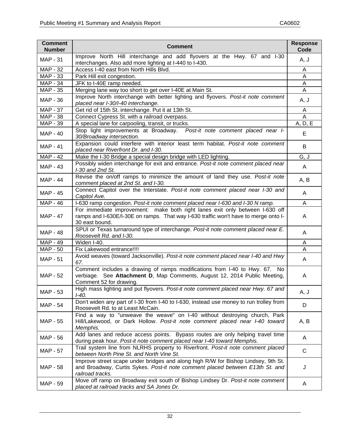| <b>Comment</b><br><b>Number</b> | <b>Comment</b>                                                                                                                                                                         | <b>Response</b><br>Code |
|---------------------------------|----------------------------------------------------------------------------------------------------------------------------------------------------------------------------------------|-------------------------|
| <b>MAP - 31</b>                 | Improve North Hill interchange and add flyovers at the Hwy. 67 and I-30<br>interchanges. Also add more lighting at I-440 to I-430.                                                     | A, J                    |
| <b>MAP - 32</b>                 | Access I-40 east from North Hills Blvd.                                                                                                                                                | A                       |
| $\overline{MAP}$ - 33           | Park Hill exit congestion.                                                                                                                                                             | A                       |
| <b>MAP - 34</b>                 | JFK to I-40E ramp needed.                                                                                                                                                              | A                       |
| $\overline{MAP}$ - 35           | Merging lane way too short to get over I-40E at Main St.                                                                                                                               | A                       |
| <b>MAP - 36</b>                 | Improve North interchange with better lighting and flyovers. Post-it note comment<br>placed near I-30/I-40 interchange.                                                                | A, J                    |
| <b>MAP - 37</b>                 | Get rid of 15th St. interchange. Put it at 13th St.                                                                                                                                    | A                       |
| <b>MAP - 38</b>                 | Connect Cypress St. with a railroad overpass.                                                                                                                                          | $\overline{A}$          |
| MAP - 39                        | A special lane for carpooling, transit, or trucks.                                                                                                                                     | A, D, E                 |
| <b>MAP - 40</b>                 | Stop light improvements at Broadway. Post-it note comment placed near I-<br>30/Broadway intersection.                                                                                  | E                       |
| <b>MAP - 41</b>                 | Expansion could interfere with interior least term habitat. Post-it note comment<br>placed near Riverfront Dr. and I-30.                                                               | B                       |
| $MAP - 42$                      | Make the I-30 Bridge a special design bridge with LED lighting.                                                                                                                        | $\overline{G, J}$       |
| <b>MAP - 43</b>                 | Possibly widen interchange for exit and entrance. Post-it note comment placed near<br>I-30 and 2nd St.                                                                                 | A                       |
| <b>MAP - 44</b>                 | Revise the on/off ramps to minimize the amount of land they use. Post-it note<br>comment placed at 2nd St. and I-30.                                                                   | A, B                    |
| <b>MAP - 45</b>                 | Connect Capitol over the Interstate. Post-it note comment placed near I-30 and<br>Capitol Ave.                                                                                         | A                       |
| <b>MAP - 46</b>                 | I-630 ramp congestion. Post-it note comment placed near I-630 and I-30 N ramp.                                                                                                         | A                       |
| <b>MAP - 47</b>                 | For immediate improvement: make both right lanes exit only between I-630 off<br>ramps and I-630E/I-30E on ramps. That way I-630 traffic won't have to merge onto I-<br>30 east bound.  | A                       |
| MAP - 48                        | SPUI or Texas turnaround type of interchange. Post-it note comment placed near E.<br>Roosevelt Rd. and I-30.                                                                           | A                       |
| MAP - 49                        | Widen I-40.                                                                                                                                                                            | Α                       |
| $\overline{\text{MAP}}$ - 50    | Fix Lakewood entrance!!!!                                                                                                                                                              | Α                       |
| <b>MAP - 51</b>                 | Avoid weaves (toward Jacksonville). Post-it note comment placed near I-40 and Hwy<br>67.                                                                                               | A                       |
| <b>MAP - 52</b>                 | Comment includes a drawing of ramps modifications from I-40 to Hwy. 67. No<br>verbiage. See Attachment D, Map Comments, August 12, 2014 Public Meeting,<br>Comment 52 for drawing.     | A                       |
| <b>MAP - 53</b>                 | High mass lighting and put flyovers. Post-it note comment placed near Hwy. 67 and<br>I-40.                                                                                             | A, J                    |
| <b>MAP - 54</b>                 | Don't widen any part of I-30 from I-40 to I-630, instead use money to run trolley from<br>Roosevelt Rd. to at Least McCain.                                                            | D                       |
| <b>MAP - 55</b>                 | Find a way to "unweave the weave" on I-40 without destroying church, Park<br>Hill/Lakewood, or Dark Hollow. Post-it note comment placed near I-40 toward<br>Memphis.                   | A, B                    |
| MAP - 56                        | Add lanes and reduce access points. Bypass routes are only helping travel time<br>during peak hour. Post-it note comment placed near I-40 toward Memphis.                              | A                       |
| <b>MAP - 57</b>                 | Trail system line from NLRHS property to Riverfront. Post-it note comment placed<br>between North Pine St. and North Vine St.                                                          | $\mathsf C$             |
| <b>MAP - 58</b>                 | Improve street scape under bridges and along high R/W for Bishop Lindsey, 9th St.<br>and Broadway, Curtis Sykes. Post-it note comment placed between E13th St. and<br>railroad tracks. | J                       |
| MAP - 59                        | Move off ramp on Broadway exit south of Bishop Lindsey Dr. Post-it note comment<br>placed at railroad tracks and SA Jones Dr.                                                          | A                       |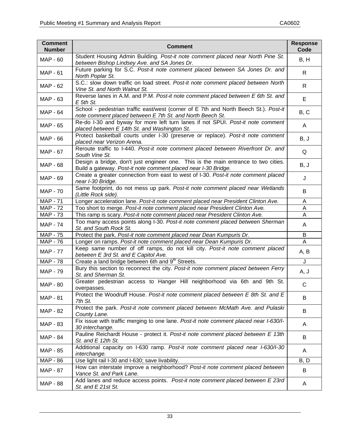| <b>Comment</b><br><b>Number</b> | <b>Comment</b>                                                                                                                                       | <b>Response</b><br>Code |  |
|---------------------------------|------------------------------------------------------------------------------------------------------------------------------------------------------|-------------------------|--|
| <b>MAP - 60</b>                 | Student Housing Admin Building. Post-it note comment placed near North Pine St.<br>between Bishop Lindsey Ave. and SA Jones Dr.                      |                         |  |
| <b>MAP - 61</b>                 | Future parking for S.C. Post-it note comment placed between SA Jones Dr. and<br>North Poplar St.                                                     |                         |  |
| MAP - 62                        | S.C.: slow down traffic on load street. Post-it note comment placed between North<br>Vine St. and North Walnut St.                                   | $\mathsf{R}$            |  |
| MAP - 63                        | Reverse lanes in A.M. and P.M. Post-it note comment placed between E 6th St. and<br>E 5th St.                                                        | E                       |  |
| <b>MAP - 64</b>                 | School - pedestrian traffic east/west (corner of E 7th and North Beech St.). Post-it<br>note comment placed between E 7th St. and North Beech St.    | B, C                    |  |
| MAP - 65                        | Re-do I-30 and byway for more left turn lanes if not SPUI. Post-it note comment<br>placed between E 14th St. and Washington St.                      | A                       |  |
| MAP - 66                        | Protect basketball courts under I-30 (preserve or replace). Post-it note comment<br>placed near Verizon Arena.                                       | B, J                    |  |
| MAP - 67                        | Reroute traffic to I-440. Post-it note comment placed between Riverfront Dr. and<br>South Vine St.                                                   | Q                       |  |
| MAP - 68                        | Design a bridge, don't just engineer one. This is the main entrance to two cities.<br>Build a gateway. Post-it note comment placed near I-30 Bridge. | B, J                    |  |
| MAP - 69                        | Create a greater connection from east to west of I-30. Post-it note comment placed<br>near I-30 Bridge.                                              | J                       |  |
| <b>MAP - 70</b>                 | Same footprint, do not mess up park. Post-it note comment placed near Wetlands<br>(Little Rock side).                                                |                         |  |
| <b>MAP - 71</b>                 | Longer acceleration lane. Post-it note comment placed near President Clinton Ave.                                                                    |                         |  |
| <b>MAP - 72</b>                 | Too short to merge. Post-it note comment placed near President Clinton Ave.                                                                          | A                       |  |
| <b>MAP - 73</b>                 | This ramp is scary. Post-it note comment placed near President Clinton Ave.                                                                          |                         |  |
| <b>MAP - 74</b>                 | Too many access points along I-30. Post-it note comment placed between Sherman<br>St. and South Rock St.                                             |                         |  |
| <b>MAP - 75</b>                 | Protect the park. Post-it note comment placed near Dean Kumpuris Dr.                                                                                 |                         |  |
| MAP - 76                        | Longer on ramps. Post-it note comment placed near Dean Kumpuris Dr.                                                                                  |                         |  |
| <b>MAP - 77</b>                 | Keep same number of off ramps, do not kill city. Post-it note comment placed<br>between E 3rd St. and E Capitol Ave.                                 |                         |  |
| <b>MAP - 78</b>                 | Create a land bridge between 6th and 9 <sup>th</sup> Streets.                                                                                        | J                       |  |
| <b>MAP - 79</b>                 | Bury this section to reconnect the city. Post-it note comment placed between Ferry<br>St. and Sherman St.                                            | A, J                    |  |
| <b>MAP - 80</b>                 | Greater pedestrian access to Hanger Hill neighborhood via 6th and 9th St.<br>overpasses.                                                             | $\mathsf C$             |  |
| <b>MAP - 81</b>                 | Protect the Woodruff House. Post-it note comment placed between E 8th St. and E<br>7th St.                                                           | B                       |  |
| MAP - 82                        | Protect the park. Post-it note comment placed between McMath Ave. and Pulaski<br>County Lane.                                                        | B                       |  |
| MAP - 83                        | Fix issue with traffic merging to one lane. Post-it note comment placed near I-630/I-<br>30 interchange.                                             |                         |  |
| <b>MAP - 84</b>                 | Pauline Reichardt House - protect it. Post-it note comment placed between E 13th<br>St. and E 12th St.                                               |                         |  |
| MAP - 85                        | Additional capacity on I-630 ramp. Post-it note comment placed near I-630/I-30<br>interchange.                                                       | A                       |  |
| MAP - 86                        | Use light rail I-30 and I-630; save livability.                                                                                                      | B, D                    |  |
| <b>MAP - 87</b>                 | How can interstate improve a neighborhood? Post-it note comment placed between<br>Vance St. and Park Lane.                                           | B                       |  |
| <b>MAP - 88</b>                 | Add lanes and reduce access points. Post-it note comment placed between E 23rd<br>St. and E 21st St.                                                 | A                       |  |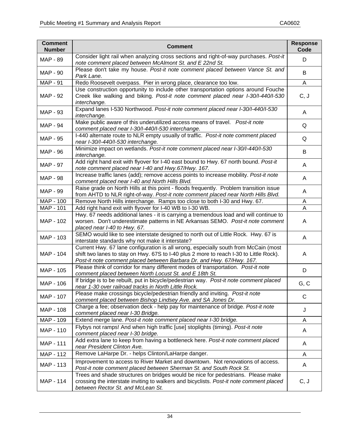| <b>Comment</b><br><b>Number</b> | <b>Comment</b>                                                                                                                                                                                                                                         | <b>Response</b><br>Code |  |
|---------------------------------|--------------------------------------------------------------------------------------------------------------------------------------------------------------------------------------------------------------------------------------------------------|-------------------------|--|
| <b>MAP - 89</b>                 | Consider light rail when analyzing cross sections and right-of-way purchases. Post-it<br>note comment placed between McAlmont St. and E 22nd St.                                                                                                       |                         |  |
| MAP - 90                        | Please don't take my house. Post-it note comment placed between Vance St. and<br>Park Lane.                                                                                                                                                            |                         |  |
| <b>MAP - 91</b>                 | Redo Roosevelt overpass. Pier in wrong place, clearance too low.                                                                                                                                                                                       |                         |  |
| MAP - 92                        | Use construction opportunity to include other transportation options around Fouche<br>Creek like walking and biking. Post-it note comment placed near I-30/I-440/I-530<br>interchange.                                                                 | C, J                    |  |
| MAP - 93                        | Expand lanes I-530 Northwood. Post-it note comment placed near I-30/I-440/I-530<br>interchange.                                                                                                                                                        | A                       |  |
| <b>MAP - 94</b>                 | Make public aware of this underutilized access means of travel. Post-it note<br>comment placed near I-30/I-440/I-530 interchange.                                                                                                                      | Q                       |  |
| <b>MAP - 95</b>                 | I-440 alternate route to NLR empty usually of traffic. Post-it note comment placed<br>near I-30/I-440/I-530 interchange.                                                                                                                               | Q                       |  |
| MAP - 96                        | Minimize impact on wetlands. Post-it note comment placed near I-30/I-440/I-530<br>interchange.                                                                                                                                                         | B                       |  |
| MAP - 97                        | Add right hand exit with flyover for I-40 east bound to Hwy. 67 north bound. Post-it<br>note comment placed near I-40 and Hwy.67/Hwy. 167.                                                                                                             | A                       |  |
| <b>MAP - 98</b>                 | Increase traffic lanes (add); remove access points to increase mobility. Post-it note<br>comment placed near I-40 and North Hills Blvd.                                                                                                                | A                       |  |
| MAP - 99                        | Raise grade on North Hills at this point - floods frequently. Problem transition issue<br>from AHTD to NLR right-of-way. Post-it note comment placed near North Hills Blvd.                                                                            | A                       |  |
| MAP - 100                       | Remove North Hills interchange. Ramps too close to both I-30 and Hwy. 67.                                                                                                                                                                              |                         |  |
| MAP - 101                       | Add right hand exit with flyover for I-40 WB to I-30 WB.                                                                                                                                                                                               |                         |  |
| MAP - 102                       | Hwy. 67 needs additional lanes - it is carrying a tremendous load and will continue to<br>worsen. Don't underestimate patterns in NE Arkansas SEMO. Post-it note comment<br>placed near I-40 to Hwy. 67.                                               | A                       |  |
| MAP - 103                       | SEMO would like to see interstate designed to north out of Little Rock. Hwy. 67 is<br>interstate standards why not make it interstate?                                                                                                                 |                         |  |
| MAP - 104                       | Current Hwy. 67 lane configuration is all wrong, especially south from McCain (most<br>shift two lanes to stay on Hwy. 67S to I-40 plus 2 more to reach I-30 to Little Rock).<br>Post-it note comment placed between Barbara Dr. and Hwy. 67/Hwy. 167. | A                       |  |
| MAP - 105                       | Please think of corridor for many different modes of transportation. Post-it note<br>comment placed between North Locust St. and E 18th St.                                                                                                            | D                       |  |
| MAP - 106                       | If bridge is to be rebuilt, put in bicycle/pedestrian way. Post-it note comment placed<br>near 1-30 over railroad tracks in North Little Rock.                                                                                                         | G, C                    |  |
| MAP - 107                       | Please make crossings bicycle/pedestrian friendly and inviting. Post-it note<br>comment placed between Bishop Lindsey Ave. and SA Jones Dr.                                                                                                            | C                       |  |
| MAP - 108                       | Charge a fee; observation deck - help pay for maintenance of bridge. Post-it note<br>comment placed near I-30 Bridge.                                                                                                                                  | J                       |  |
| MAP - 109                       | Extend merge lane. Post-it note comment placed near I-30 bridge.                                                                                                                                                                                       |                         |  |
| MAP - 110                       | Flybys not ramps! And when high traffic [use] stoplights (timing). Post-it note<br>comment placed near I-30 bridge.                                                                                                                                    |                         |  |
| MAP - 111                       | Add extra lane to keep from having a bottleneck here. Post-it note comment placed<br>near President Clinton Ave.                                                                                                                                       | A                       |  |
| MAP - 112                       | Remove LaHarpe Dr. - helps Clinton/LaHarpe danger.                                                                                                                                                                                                     | A                       |  |
| MAP - 113                       | Improvement to access to River Market and downtown. Not renovations of access.<br>Post-it note comment placed between Sherman St. and South Rock St.                                                                                                   | A                       |  |
| MAP - 114                       | Trees and shade structures on bridges would be nice for pedestrians. Please make<br>crossing the interstate inviting to walkers and bicyclists. Post-it note comment placed<br>between Rector St. and McLean St.                                       | C, J                    |  |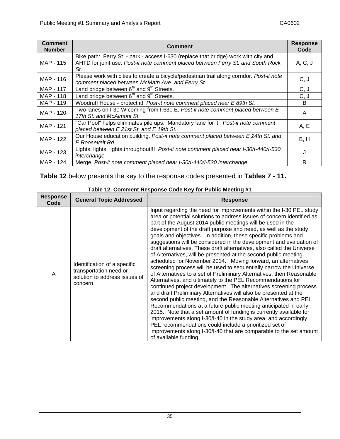| <b>Comment</b><br><b>Number</b> | Comment                                                                                                                                                                        | <b>Response</b><br>Code |  |
|---------------------------------|--------------------------------------------------------------------------------------------------------------------------------------------------------------------------------|-------------------------|--|
| MAP - 115                       | Bike path: Ferry St. - park - access I-630 (replace that bridge) work with city and<br>AHTD for joint use. Post-it note comment placed between Ferry St. and South Rock<br>St. | A, C, J                 |  |
| MAP - 116                       | Please work with cities to create a bicycle/pedestrian trail along corridor. Post-it note<br>comment placed between McMath Ave. and Ferry St.                                  |                         |  |
| MAP - 117                       | Land bridge between 6 <sup>th</sup> and 9 <sup>th</sup> Streets.                                                                                                               | C, J                    |  |
| MAP - 118                       | Land bridge between 6 <sup>th</sup> and 9 <sup>th</sup> Streets.                                                                                                               | C, J                    |  |
| MAP - 119                       | Woodruff House - protect it! Post-it note comment placed near E 89th St.                                                                                                       | B.                      |  |
| MAP - 120                       | Two lanes on I-30 W coming from I-630 E. Post-it note comment placed between E<br>17th St. and McAlmont St.                                                                    |                         |  |
| MAP - 121                       | "Car Pool" helps eliminates pile ups. Mandatory lane for it! Post-it note comment<br>placed between E 21st St. and E 19th St.                                                  |                         |  |
| MAP - 122                       | Our House education building. Post-it note comment placed between E 24th St. and<br>E Roosevelt Rd.                                                                            | B, H                    |  |
| MAP - 123                       | Lights, lights, lights throughout!!! Post-it note comment placed near I-30/I-440/I-530<br>interchange.                                                                         |                         |  |
| MAP - 124                       | Merge. Post-it note comment placed near I-30/I-440/I-530 interchange.                                                                                                          |                         |  |

**Table 12** below presents the key to the response codes presented in **Tables 7 - 11.**

| <b>Response</b><br>Code | <b>General Topic Addressed</b>                                                                      | <b>Response</b>                                                                                                                                                                                                                                                                                                                                                                                                                                                                                                                                                                                                                                                                                                                                                                                                                                                                                                                                                                                                                                                                                                                                                                                                                                                                                                                                                                                                                      |
|-------------------------|-----------------------------------------------------------------------------------------------------|--------------------------------------------------------------------------------------------------------------------------------------------------------------------------------------------------------------------------------------------------------------------------------------------------------------------------------------------------------------------------------------------------------------------------------------------------------------------------------------------------------------------------------------------------------------------------------------------------------------------------------------------------------------------------------------------------------------------------------------------------------------------------------------------------------------------------------------------------------------------------------------------------------------------------------------------------------------------------------------------------------------------------------------------------------------------------------------------------------------------------------------------------------------------------------------------------------------------------------------------------------------------------------------------------------------------------------------------------------------------------------------------------------------------------------------|
| A                       | Identification of a specific<br>transportation need or<br>solution to address issues of<br>concern. | Input regarding the need for improvements within the I-30 PEL study<br>area or potential solutions to address issues of concern identified as<br>part of the August 2014 public meetings will be used in the<br>development of the draft purpose and need, as well as the study<br>goals and objectives. In addition, these specific problems and<br>suggestions will be considered in the development and evaluation of<br>draft alternatives. These draft alternatives, also called the Universe<br>of Alternatives, will be presented at the second public meeting<br>scheduled for November 2014. Moving forward, an alternatives<br>screening process will be used to sequentially narrow the Universe<br>of Alternatives to a set of Preliminary Alternatives, then Reasonable<br>Alternatives, and ultimately to the PEL Recommendations for<br>continued project development. The alternatives screening process<br>and draft Preliminary Alternatives will also be presented at the<br>second public meeting, and the Reasonable Alternatives and PEL<br>Recommendations at a future public meeting anticipated in early<br>2015. Note that a set amount of funding is currently available for<br>improvements along I-30/I-40 in the study area, and accordingly,<br>PEL recommendations could include a prioritized set of<br>improvements along I-30/I-40 that are comparable to the set amount<br>of available funding. |

### **Table 12. Comment Response Code Key for Public Meeting #1**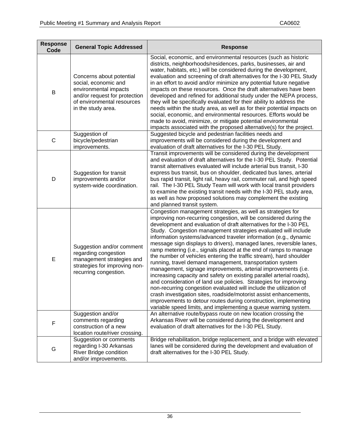| <b>Response</b><br>Code | <b>General Topic Addressed</b>                                                                                                                                 | <b>Response</b>                                                                                                                                                                                                                                                                                                                                                                                                                                                                                                                                                                                                                                                                                                                                                                                                                                                                                                                                                                                                                                                                                                         |
|-------------------------|----------------------------------------------------------------------------------------------------------------------------------------------------------------|-------------------------------------------------------------------------------------------------------------------------------------------------------------------------------------------------------------------------------------------------------------------------------------------------------------------------------------------------------------------------------------------------------------------------------------------------------------------------------------------------------------------------------------------------------------------------------------------------------------------------------------------------------------------------------------------------------------------------------------------------------------------------------------------------------------------------------------------------------------------------------------------------------------------------------------------------------------------------------------------------------------------------------------------------------------------------------------------------------------------------|
| B                       | Concerns about potential<br>social, economic and<br>environmental impacts<br>and/or request for protection<br>of environmental resources<br>in the study area. | Social, economic, and environmental resources (such as historic<br>districts, neighborhoods/residences, parks, businesses, air and<br>water, habitats, etc.) will be considered during the development,<br>evaluation and screening of draft alternatives for the I-30 PEL Study<br>in an effort to avoid and/or minimize any potential future negative<br>impacts on these resources. Once the draft alternatives have been<br>developed and refined for additional study under the NEPA process,<br>they will be specifically evaluated for their ability to address the<br>needs within the study area, as well as for their potential impacts on<br>social, economic, and environmental resources. Efforts would be<br>made to avoid, minimize, or mitigate potential environmental<br>impacts associated with the proposed alternative(s) for the project.                                                                                                                                                                                                                                                         |
| C                       | Suggestion of<br>bicycle/pedestrian<br>improvements.                                                                                                           | Suggested bicycle and pedestrian facilities needs and<br>improvements will be considered during the development and<br>evaluation of draft alternatives for the I-30 PEL Study.                                                                                                                                                                                                                                                                                                                                                                                                                                                                                                                                                                                                                                                                                                                                                                                                                                                                                                                                         |
| D                       | Suggestion for transit<br>improvements and/or<br>system-wide coordination.                                                                                     | Transit improvements will be considered during the development<br>and evaluation of draft alternatives for the I-30 PEL Study. Potential<br>transit alternatives evaluated will include arterial bus transit, I-30<br>express bus transit, bus on shoulder, dedicated bus lanes, arterial<br>bus rapid transit, light rail, heavy rail, commuter rail, and high speed<br>rail. The I-30 PEL Study Team will work with local transit providers<br>to examine the existing transit needs with the I-30 PEL study area,<br>as well as how proposed solutions may complement the existing<br>and planned transit system.                                                                                                                                                                                                                                                                                                                                                                                                                                                                                                    |
| E                       | Suggestion and/or comment<br>regarding congestion<br>management strategies and<br>strategies for improving non-<br>recurring congestion.                       | Congestion management strategies, as well as strategies for<br>improving non-recurring congestion, will be considered during the<br>development and evaluation of draft alternatives for the I-30 PEL<br>Study. Congestion management strategies evaluated will include<br>information systems/advanced traveler information (e.g., dynamic<br>message sign displays to drivers), managed lanes, reversible lanes,<br>ramp metering (i.e., signals placed at the end of ramps to manage<br>the number of vehicles entering the traffic stream), hard shoulder<br>running, travel demand management, transportation system<br>management, signage improvements, arterial improvements (i.e.<br>increasing capacity and safety on existing parallel arterial roads),<br>and consideration of land use policies. Strategies for improving<br>non-recurring congestion evaluated will include the utilization of<br>crash investigation sites, roadside/motorist assist enhancements,<br>improvements to detour routes during construction, implementing<br>variable speed limits, and implementing a queue warning system. |
| F                       | Suggestion and/or<br>comments regarding<br>construction of a new<br>location route/river crossing.                                                             | An alternative route/bypass route on new location crossing the<br>Arkansas River will be considered during the development and<br>evaluation of draft alternatives for the I-30 PEL Study.                                                                                                                                                                                                                                                                                                                                                                                                                                                                                                                                                                                                                                                                                                                                                                                                                                                                                                                              |
| G                       | Suggestion or comments<br>regarding I-30 Arkansas<br><b>River Bridge condition</b><br>and/or improvements.                                                     | Bridge rehabilitation, bridge replacement, and a bridge with elevated<br>lanes will be considered during the development and evaluation of<br>draft alternatives for the I-30 PEL Study.                                                                                                                                                                                                                                                                                                                                                                                                                                                                                                                                                                                                                                                                                                                                                                                                                                                                                                                                |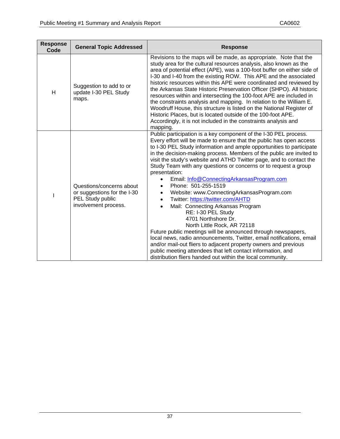| <b>Response</b><br>Code | <b>General Topic Addressed</b>                                                                      | <b>Response</b>                                                                                                                                                                                                                                                                                                                                                                                                                                                                                                                                                                                                                                                                                                                                                                                                                                                                                                                                                                                                                                                                 |
|-------------------------|-----------------------------------------------------------------------------------------------------|---------------------------------------------------------------------------------------------------------------------------------------------------------------------------------------------------------------------------------------------------------------------------------------------------------------------------------------------------------------------------------------------------------------------------------------------------------------------------------------------------------------------------------------------------------------------------------------------------------------------------------------------------------------------------------------------------------------------------------------------------------------------------------------------------------------------------------------------------------------------------------------------------------------------------------------------------------------------------------------------------------------------------------------------------------------------------------|
| Н                       | Suggestion to add to or<br>update I-30 PEL Study<br>maps.                                           | Revisions to the maps will be made, as appropriate. Note that the<br>study area for the cultural resources analysis, also known as the<br>area of potential effect (APE), was a 100-foot buffer on either side of<br>I-30 and I-40 from the existing ROW. This APE and the associated<br>historic resources within this APE were coordinated and reviewed by<br>the Arkansas State Historic Preservation Officer (SHPO). All historic<br>resources within and intersecting the 100-foot APE are included in<br>the constraints analysis and mapping. In relation to the William E.<br>Woodruff House, this structure is listed on the National Register of<br>Historic Places, but is located outside of the 100-foot APE.<br>Accordingly, it is not included in the constraints analysis and<br>mapping.                                                                                                                                                                                                                                                                       |
| J.                      | Questions/concerns about<br>or suggestions for the I-30<br>PEL Study public<br>involvement process. | Public participation is a key component of the I-30 PEL process.<br>Every effort will be made to ensure that the public has open access<br>to I-30 PEL Study information and ample opportunities to participate<br>in the decision-making process. Members of the public are invited to<br>visit the study's website and ATHD Twitter page, and to contact the<br>Study Team with any questions or concerns or to request a group<br>presentation:<br>Email: Info@ConnectingArkansasProgram.com<br>Phone: 501-255-1519<br>Website: www.ConnectingArkansasProgram.com<br>$\bullet$<br>Twitter: https://twitter.com/AHTD<br>Mail: Connecting Arkansas Program<br>RE: I-30 PEL Study<br>4701 Northshore Dr.<br>North Little Rock, AR 72118<br>Future public meetings will be announced through newspapers,<br>local news, radio announcements, Twitter, email notifications, email<br>and/or mail-out fliers to adjacent property owners and previous<br>public meeting attendees that left contact information, and<br>distribution fliers handed out within the local community. |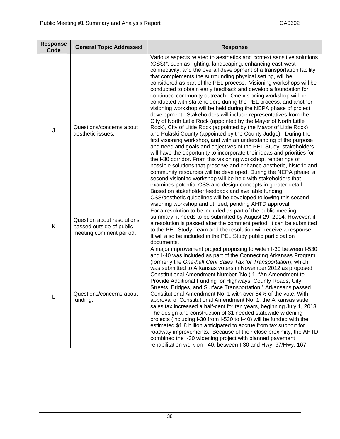| <b>Response</b><br>Code | <b>General Topic Addressed</b>                                                    | <b>Response</b>                                                                                                                                                                                                                                                                                                                                                                                                                                                                                                                                                                                                                                                                                                                                                                                                                                                                                                                                                                                                                                                                                                                                                                                                                                                                                                                                                                                                                                                                                                                                                                                                                                                        |
|-------------------------|-----------------------------------------------------------------------------------|------------------------------------------------------------------------------------------------------------------------------------------------------------------------------------------------------------------------------------------------------------------------------------------------------------------------------------------------------------------------------------------------------------------------------------------------------------------------------------------------------------------------------------------------------------------------------------------------------------------------------------------------------------------------------------------------------------------------------------------------------------------------------------------------------------------------------------------------------------------------------------------------------------------------------------------------------------------------------------------------------------------------------------------------------------------------------------------------------------------------------------------------------------------------------------------------------------------------------------------------------------------------------------------------------------------------------------------------------------------------------------------------------------------------------------------------------------------------------------------------------------------------------------------------------------------------------------------------------------------------------------------------------------------------|
| J                       | Questions/concerns about<br>aesthetic issues.                                     | Various aspects related to aesthetics and context sensitive solutions<br>(CSS)*, such as lighting, landscaping, enhancing east-west<br>connectivity, and the overall development of a transportation facility<br>that complements the surrounding physical setting, will be<br>considered as part of the PEL process. Visioning workshops will be<br>conducted to obtain early feedback and develop a foundation for<br>continued community outreach. One visioning workshop will be<br>conducted with stakeholders during the PEL process, and another<br>visioning workshop will be held during the NEPA phase of project<br>development. Stakeholders will include representatives from the<br>City of North Little Rock (appointed by the Mayor of North Little<br>Rock), City of Little Rock (appointed by the Mayor of Little Rock)<br>and Pulaski County (appointed by the County Judge). During the<br>first visioning workshop, and with an understanding of the purpose<br>and need and goals and objectives of the PEL Study, stakeholders<br>will have the opportunity to incorporate their ideas and priorities for<br>the I-30 corridor. From this visioning workshop, renderings of<br>possible solutions that preserve and enhance aesthetic, historic and<br>community resources will be developed. During the NEPA phase, a<br>second visioning workshop will be held with stakeholders that<br>examines potential CSS and design concepts in greater detail.<br>Based on stakeholder feedback and available funding,<br>CSS/aesthetic guidelines will be developed following this second<br>visioning workshop and utilized, pending AHTD approval. |
| Κ                       | Question about resolutions<br>passed outside of public<br>meeting comment period. | For a resolution to be included as part of the public meeting<br>summary, it needs to be submitted by August 29, 2014. However, if<br>a resolution is passed after the comment period, it can be submitted<br>to the PEL Study Team and the resolution will receive a response.<br>It will also be included in the PEL Study public participation<br>documents.                                                                                                                                                                                                                                                                                                                                                                                                                                                                                                                                                                                                                                                                                                                                                                                                                                                                                                                                                                                                                                                                                                                                                                                                                                                                                                        |
| L                       | Questions/concerns about<br>funding.                                              | A major improvement project proposing to widen I-30 between I-530<br>and I-40 was included as part of the Connecting Arkansas Program<br>(formerly the One-half Cent Sales Tax for Transportation), which<br>was submitted to Arkansas voters in November 2012 as proposed<br>Constitutional Amendment Number (No.) 1, "An Amendment to<br>Provide Additional Funding for Highways, County Roads, City<br>Streets, Bridges, and Surface Transportation." Arkansans passed<br>Constitutional Amendment No. 1 with over 54% of the vote. With<br>approval of Constitutional Amendment No. 1, the Arkansas state<br>sales tax increased a half-cent for ten years, beginning July 1, 2013.<br>The design and construction of 31 needed statewide widening<br>projects (including I-30 from I-530 to I-40) will be funded with the<br>estimated \$1.8 billion anticipated to accrue from tax support for<br>roadway improvements. Because of their close proximity, the AHTD<br>combined the I-30 widening project with planned pavement<br>rehabilitation work on I-40, between I-30 and Hwy. 67/Hwy. 167.                                                                                                                                                                                                                                                                                                                                                                                                                                                                                                                                                                |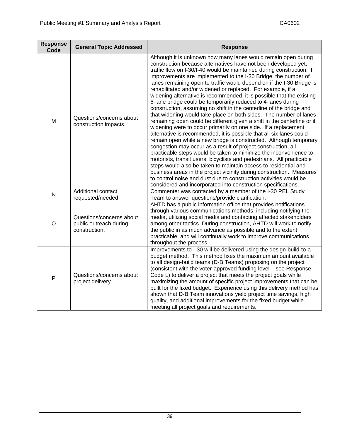| <b>Response</b><br>Code | <b>General Topic Addressed</b>                                      | <b>Response</b>                                                                                                                                                                                                                                                                                                                                                                                                                                                                                                                                                                                                                                                                                                                                                                                                                                                                                                                                                                                                                                                                                                                                                                                                                                                                                                                                                                                                                                                                                   |
|-------------------------|---------------------------------------------------------------------|---------------------------------------------------------------------------------------------------------------------------------------------------------------------------------------------------------------------------------------------------------------------------------------------------------------------------------------------------------------------------------------------------------------------------------------------------------------------------------------------------------------------------------------------------------------------------------------------------------------------------------------------------------------------------------------------------------------------------------------------------------------------------------------------------------------------------------------------------------------------------------------------------------------------------------------------------------------------------------------------------------------------------------------------------------------------------------------------------------------------------------------------------------------------------------------------------------------------------------------------------------------------------------------------------------------------------------------------------------------------------------------------------------------------------------------------------------------------------------------------------|
| M                       | Questions/concerns about<br>construction impacts.                   | Although it is unknown how many lanes would remain open during<br>construction because alternatives have not been developed yet,<br>traffic flow on I-30/I-40 would be maintained during construction. If<br>improvements are implemented to the I-30 Bridge, the number of<br>lanes remaining open to traffic would depend on if the I-30 Bridge is<br>rehabilitated and/or widened or replaced. For example, if a<br>widening alternative is recommended, it is possible that the existing<br>6-lane bridge could be temporarily reduced to 4-lanes during<br>construction, assuming no shift in the centerline of the bridge and<br>that widening would take place on both sides. The number of lanes<br>remaining open could be different given a shift in the centerline or if<br>widening were to occur primarily on one side. If a replacement<br>alternative is recommended, it is possible that all six lanes could<br>remain open while a new bridge is constructed. Although temporary<br>congestion may occur as a result of project construction, all<br>practicable steps would be taken to minimize the inconvenience to<br>motorists, transit users, bicyclists and pedestrians. All practicable<br>steps would also be taken to maintain access to residential and<br>business areas in the project vicinity during construction. Measures<br>to control noise and dust due to construction activities would be<br>considered and incorporated into construction specifications. |
| N                       | Additional contact<br>requested/needed.                             | Commenter was contacted by a member of the I-30 PEL Study<br>Team to answer questions/provide clarification.                                                                                                                                                                                                                                                                                                                                                                                                                                                                                                                                                                                                                                                                                                                                                                                                                                                                                                                                                                                                                                                                                                                                                                                                                                                                                                                                                                                      |
| $\circ$                 | Questions/concerns about<br>public outreach during<br>construction. | AHTD has a public information office that provides notifications<br>through various communications methods, including notifying the<br>media, utilizing social media and contacting affected stakeholders<br>among other tactics. During construction, AHTD will work to notify<br>the public in as much advance as possible and to the extent<br>practicable, and will continually work to improve communications<br>throughout the process.                                                                                                                                                                                                                                                                                                                                                                                                                                                                                                                                                                                                                                                                                                                                                                                                                                                                                                                                                                                                                                                     |
| P                       | Questions/concerns about<br>project delivery.                       | Improvements to I-30 will be delivered using the design-build-to-a-<br>budget method. This method fixes the maximum amount available<br>to all design-build teams (D-B Teams) proposing on the project<br>(consistent with the voter-approved funding level – see Response<br>Code L) to deliver a project that meets the project goals while<br>maximizing the amount of specific project improvements that can be<br>built for the fixed budget. Experience using this delivery method has<br>shown that D-B Team innovations yield project time savings, high<br>quality, and additional improvements for the fixed budget while<br>meeting all project goals and requirements.                                                                                                                                                                                                                                                                                                                                                                                                                                                                                                                                                                                                                                                                                                                                                                                                                |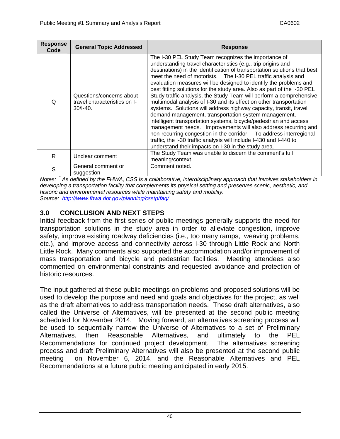| <b>Response</b><br>Code | <b>General Topic Addressed</b>                                           | <b>Response</b>                                                                                                                                                                                                                                                                                                                                                                                                                                                                                                                                                                                                                                                                                                                                                                                                                                                                                                                                                                                                                         |
|-------------------------|--------------------------------------------------------------------------|-----------------------------------------------------------------------------------------------------------------------------------------------------------------------------------------------------------------------------------------------------------------------------------------------------------------------------------------------------------------------------------------------------------------------------------------------------------------------------------------------------------------------------------------------------------------------------------------------------------------------------------------------------------------------------------------------------------------------------------------------------------------------------------------------------------------------------------------------------------------------------------------------------------------------------------------------------------------------------------------------------------------------------------------|
| Q                       | Questions/concerns about<br>travel characteristics on I-<br>$30/1 - 40.$ | The I-30 PEL Study Team recognizes the importance of<br>understanding travel characteristics (e.g., trip origins and<br>destinations) in the identification of transportation solutions that best<br>meet the need of motorists. The I-30 PEL traffic analysis and<br>evaluation measures will be designed to identify the problems and<br>best fitting solutions for the study area. Also as part of the I-30 PEL<br>Study traffic analysis, the Study Team will perform a comprehensive<br>multimodal analysis of I-30 and its effect on other transportation<br>systems. Solutions will address highway capacity, transit, travel<br>demand management, transportation system management,<br>intelligent transportation systems, bicycle/pedestrian and access<br>management needs. Improvements will also address recurring and<br>non-recurring congestion in the corridor.  To address interregional<br>traffic, the I-30 traffic analysis will include I-430 and I-440 to<br>understand their impacts on I-30 in the study area. |
| R                       | Unclear comment                                                          | The Study Team was unable to discern the comment's full<br>meaning/context.                                                                                                                                                                                                                                                                                                                                                                                                                                                                                                                                                                                                                                                                                                                                                                                                                                                                                                                                                             |
| S                       | General comment or<br>suggestion                                         | Comment noted.                                                                                                                                                                                                                                                                                                                                                                                                                                                                                                                                                                                                                                                                                                                                                                                                                                                                                                                                                                                                                          |

*Notes: \* As defined by the FHWA, CSS is a collaborative, interdisciplinary approach that involves stakeholders in developing a transportation facility that complements its physical setting and preserves scenic, aesthetic, and historic and environmental resources while maintaining safety and mobility. Source: http://www.fhwa.dot.gov/planning/csstp/faq/*

## **3.0 CONCLUSION AND NEXT STEPS**

Initial feedback from the first series of public meetings generally supports the need for transportation solutions in the study area in order to alleviate congestion, improve safety, improve existing roadway deficiencies (i.e., too many ramps, weaving problems, etc.), and improve access and connectivity across I-30 through Little Rock and North Little Rock. Many comments also supported the accommodation and/or improvement of mass transportation and bicycle and pedestrian facilities. Meeting attendees also commented on environmental constraints and requested avoidance and protection of historic resources.

The input gathered at these public meetings on problems and proposed solutions will be used to develop the purpose and need and goals and objectives for the project, as well as the draft alternatives to address transportation needs. These draft alternatives, also called the Universe of Alternatives, will be presented at the second public meeting scheduled for November 2014. Moving forward, an alternatives screening process will be used to sequentially narrow the Universe of Alternatives to a set of Preliminary Alternatives, then Reasonable Alternatives, and ultimately to the PEL Recommendations for continued project development. The alternatives screening process and draft Preliminary Alternatives will also be presented at the second public meeting on November 6, 2014, and the Reasonable Alternatives and PEL Recommendations at a future public meeting anticipated in early 2015.